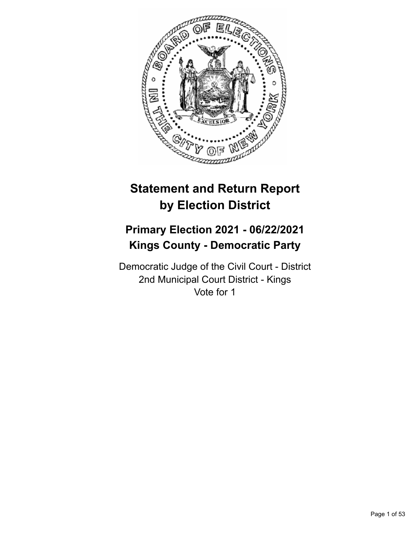

# **Statement and Return Report by Election District**

# **Primary Election 2021 - 06/22/2021 Kings County - Democratic Party**

Democratic Judge of the Civil Court - District 2nd Municipal Court District - Kings Vote for 1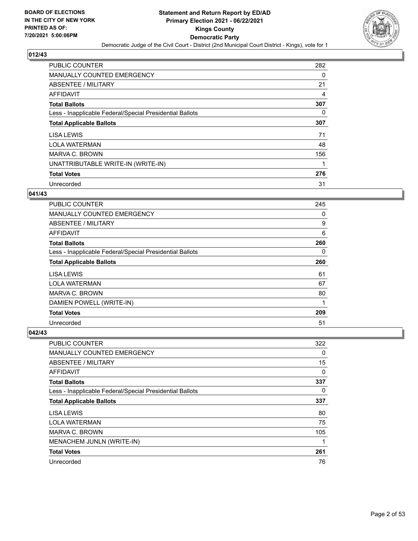

| PUBLIC COUNTER                                           | 282 |
|----------------------------------------------------------|-----|
| <b>MANUALLY COUNTED EMERGENCY</b>                        | 0   |
| ABSENTEE / MILITARY                                      | 21  |
| AFFIDAVIT                                                | 4   |
| <b>Total Ballots</b>                                     | 307 |
| Less - Inapplicable Federal/Special Presidential Ballots | 0   |
| <b>Total Applicable Ballots</b>                          | 307 |
| LISA LEWIS                                               | 71  |
| <b>LOLA WATERMAN</b>                                     | 48  |
| MARVA C. BROWN                                           | 156 |
| UNATTRIBUTABLE WRITE-IN (WRITE-IN)                       |     |
| <b>Total Votes</b>                                       | 276 |
| Unrecorded                                               | 31  |

## **041/43**

| <b>PUBLIC COUNTER</b>                                    | 245 |
|----------------------------------------------------------|-----|
| <b>MANUALLY COUNTED EMERGENCY</b>                        | 0   |
| ABSENTEE / MILITARY                                      | 9   |
| <b>AFFIDAVIT</b>                                         | 6   |
| <b>Total Ballots</b>                                     | 260 |
| Less - Inapplicable Federal/Special Presidential Ballots | 0   |
| <b>Total Applicable Ballots</b>                          | 260 |
| LISA LEWIS                                               | 61  |
| <b>LOLA WATERMAN</b>                                     | 67  |
| <b>MARVA C. BROWN</b>                                    | 80  |
| DAMIEN POWELL (WRITE-IN)                                 | 1   |
| <b>Total Votes</b>                                       | 209 |
| Unrecorded                                               | 51  |

| PUBLIC COUNTER                                           | 322      |
|----------------------------------------------------------|----------|
| MANUALLY COUNTED EMERGENCY                               | $\Omega$ |
| ABSENTEE / MILITARY                                      | 15       |
| AFFIDAVIT                                                | 0        |
| <b>Total Ballots</b>                                     | 337      |
| Less - Inapplicable Federal/Special Presidential Ballots | $\Omega$ |
| <b>Total Applicable Ballots</b>                          | 337      |
| LISA LEWIS                                               | 80       |
| <b>LOLA WATERMAN</b>                                     | 75       |
| MARVA C. BROWN                                           | 105      |
| MENACHEM JUNLN (WRITE-IN)                                | 1        |
| <b>Total Votes</b>                                       | 261      |
| Unrecorded                                               | 76       |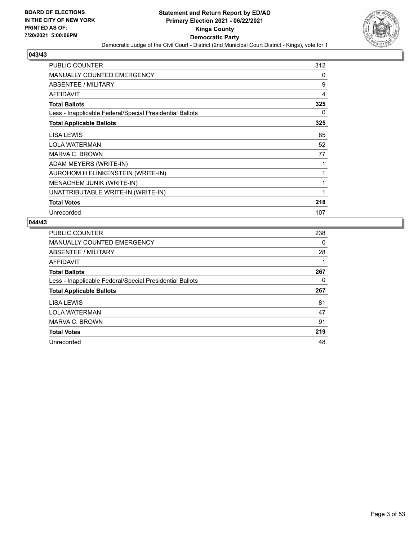

| <b>PUBLIC COUNTER</b>                                    | 312 |
|----------------------------------------------------------|-----|
| <b>MANUALLY COUNTED EMERGENCY</b>                        | 0   |
| ABSENTEE / MILITARY                                      | 9   |
| <b>AFFIDAVIT</b>                                         | 4   |
| <b>Total Ballots</b>                                     | 325 |
| Less - Inapplicable Federal/Special Presidential Ballots | 0   |
| <b>Total Applicable Ballots</b>                          | 325 |
| LISA LEWIS                                               | 85  |
| <b>LOLA WATERMAN</b>                                     | 52  |
| <b>MARVA C. BROWN</b>                                    | 77  |
| ADAM MEYERS (WRITE-IN)                                   | 1   |
| AUROHOM H FLINKENSTEIN (WRITE-IN)                        | 1   |
| <b>MENACHEM JUNIK (WRITE-IN)</b>                         | 1   |
| UNATTRIBUTABLE WRITE-IN (WRITE-IN)                       | 1   |
| <b>Total Votes</b>                                       | 218 |
| Unrecorded                                               | 107 |

| <b>PUBLIC COUNTER</b>                                    | 238      |
|----------------------------------------------------------|----------|
| MANUALLY COUNTED EMERGENCY                               | $\Omega$ |
| <b>ABSENTEE / MILITARY</b>                               | 28       |
| <b>AFFIDAVIT</b>                                         | 1        |
| <b>Total Ballots</b>                                     | 267      |
| Less - Inapplicable Federal/Special Presidential Ballots | 0        |
| <b>Total Applicable Ballots</b>                          | 267      |
| LISA LEWIS                                               | 81       |
| <b>LOLA WATERMAN</b>                                     | 47       |
| MARVA C. BROWN                                           | 91       |
| <b>Total Votes</b>                                       | 219      |
| Unrecorded                                               | 48       |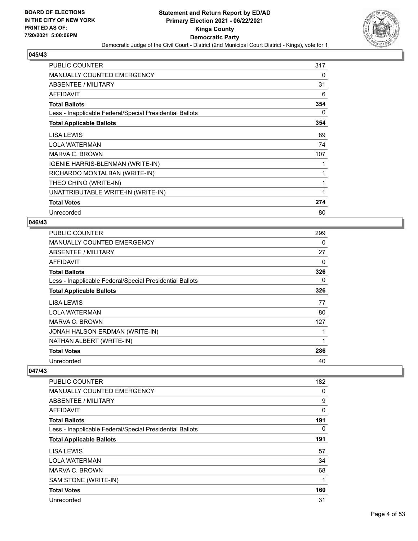

| <b>PUBLIC COUNTER</b>                                    | 317 |
|----------------------------------------------------------|-----|
| <b>MANUALLY COUNTED EMERGENCY</b>                        | 0   |
| ABSENTEE / MILITARY                                      | 31  |
| <b>AFFIDAVIT</b>                                         | 6   |
| <b>Total Ballots</b>                                     | 354 |
| Less - Inapplicable Federal/Special Presidential Ballots | 0   |
| <b>Total Applicable Ballots</b>                          | 354 |
| LISA LEWIS                                               | 89  |
| <b>LOLA WATERMAN</b>                                     | 74  |
| MARVA C. BROWN                                           | 107 |
| <b>IGENIE HARRIS-BLENMAN (WRITE-IN)</b>                  |     |
| RICHARDO MONTALBAN (WRITE-IN)                            | 1   |
| THEO CHINO (WRITE-IN)                                    |     |
| UNATTRIBUTABLE WRITE-IN (WRITE-IN)                       |     |
| <b>Total Votes</b>                                       | 274 |
| Unrecorded                                               | 80  |

## **046/43**

| <b>PUBLIC COUNTER</b>                                    | 299 |
|----------------------------------------------------------|-----|
| MANUALLY COUNTED EMERGENCY                               | 0   |
| ABSENTEE / MILITARY                                      | 27  |
| <b>AFFIDAVIT</b>                                         | 0   |
| <b>Total Ballots</b>                                     | 326 |
| Less - Inapplicable Federal/Special Presidential Ballots | 0   |
| <b>Total Applicable Ballots</b>                          | 326 |
| LISA LEWIS                                               | 77  |
| <b>LOLA WATERMAN</b>                                     | 80  |
| MARVA C. BROWN                                           | 127 |
| JONAH HALSON ERDMAN (WRITE-IN)                           | 1   |
| NATHAN ALBERT (WRITE-IN)                                 | 1   |
| <b>Total Votes</b>                                       | 286 |
| Unrecorded                                               | 40  |

| PUBLIC COUNTER                                           | 182 |
|----------------------------------------------------------|-----|
| <b>MANUALLY COUNTED EMERGENCY</b>                        | 0   |
| ABSENTEE / MILITARY                                      | 9   |
| <b>AFFIDAVIT</b>                                         | 0   |
| <b>Total Ballots</b>                                     | 191 |
| Less - Inapplicable Federal/Special Presidential Ballots | 0   |
| <b>Total Applicable Ballots</b>                          | 191 |
| LISA LEWIS                                               | 57  |
| <b>LOLA WATERMAN</b>                                     | 34  |
| <b>MARVA C. BROWN</b>                                    | 68  |
| SAM STONE (WRITE-IN)                                     | 1   |
| <b>Total Votes</b>                                       | 160 |
| Unrecorded                                               | 31  |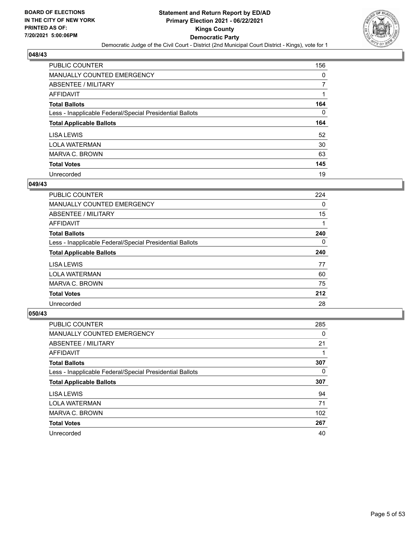

| PUBLIC COUNTER                                           | 156      |
|----------------------------------------------------------|----------|
| <b>MANUALLY COUNTED EMERGENCY</b>                        | 0        |
| ABSENTEE / MILITARY                                      | 7        |
| AFFIDAVIT                                                |          |
| <b>Total Ballots</b>                                     | 164      |
| Less - Inapplicable Federal/Special Presidential Ballots | $\Omega$ |
| <b>Total Applicable Ballots</b>                          | 164      |
|                                                          |          |
| LISA LEWIS                                               | 52       |
| <b>LOLA WATERMAN</b>                                     | 30       |
| MARVA C. BROWN                                           | 63       |
| <b>Total Votes</b>                                       | 145      |

#### **049/43**

| <b>PUBLIC COUNTER</b>                                    | 224 |
|----------------------------------------------------------|-----|
| <b>MANUALLY COUNTED EMERGENCY</b>                        | 0   |
| ABSENTEE / MILITARY                                      | 15  |
| AFFIDAVIT                                                |     |
| <b>Total Ballots</b>                                     | 240 |
| Less - Inapplicable Federal/Special Presidential Ballots | 0   |
| <b>Total Applicable Ballots</b>                          | 240 |
| LISA LEWIS                                               | 77  |
| <b>LOLA WATERMAN</b>                                     | 60  |
| MARVA C. BROWN                                           | 75  |
| <b>Total Votes</b>                                       | 212 |
| Unrecorded                                               | 28  |
|                                                          |     |

| <b>PUBLIC COUNTER</b>                                    | 285 |
|----------------------------------------------------------|-----|
| <b>MANUALLY COUNTED EMERGENCY</b>                        | 0   |
| ABSENTEE / MILITARY                                      | 21  |
| <b>AFFIDAVIT</b>                                         |     |
| <b>Total Ballots</b>                                     | 307 |
| Less - Inapplicable Federal/Special Presidential Ballots | 0   |
|                                                          |     |
| <b>Total Applicable Ballots</b>                          | 307 |
| LISA LEWIS                                               | 94  |
| <b>LOLA WATERMAN</b>                                     | 71  |
| <b>MARVA C. BROWN</b>                                    | 102 |
| <b>Total Votes</b>                                       | 267 |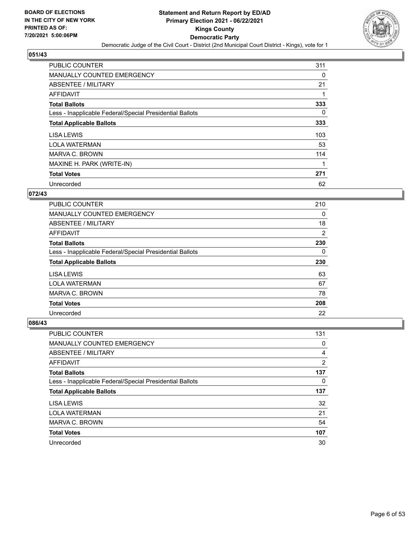

| <b>PUBLIC COUNTER</b>                                    | 311      |
|----------------------------------------------------------|----------|
| <b>MANUALLY COUNTED EMERGENCY</b>                        | 0        |
| ABSENTEE / MILITARY                                      | 21       |
| <b>AFFIDAVIT</b>                                         |          |
| <b>Total Ballots</b>                                     | 333      |
| Less - Inapplicable Federal/Special Presidential Ballots | $\Omega$ |
| <b>Total Applicable Ballots</b>                          | 333      |
| LISA LEWIS                                               | 103      |
| <b>LOLA WATERMAN</b>                                     | 53       |
| MARVA C. BROWN                                           | 114      |
| MAXINE H. PARK (WRITE-IN)                                |          |
| <b>Total Votes</b>                                       | 271      |
| Unrecorded                                               | 62       |

# **072/43**

| PUBLIC COUNTER                                           | 210 |
|----------------------------------------------------------|-----|
| <b>MANUALLY COUNTED EMERGENCY</b>                        | 0   |
| ABSENTEE / MILITARY                                      | 18  |
| AFFIDAVIT                                                | 2   |
| <b>Total Ballots</b>                                     | 230 |
| Less - Inapplicable Federal/Special Presidential Ballots | 0   |
|                                                          |     |
| <b>Total Applicable Ballots</b>                          | 230 |
| LISA LEWIS                                               | 63  |
| <b>LOLA WATERMAN</b>                                     | 67  |
| MARVA C. BROWN                                           | 78  |
| <b>Total Votes</b>                                       | 208 |

| <b>PUBLIC COUNTER</b>                                    | 131            |
|----------------------------------------------------------|----------------|
| <b>MANUALLY COUNTED EMERGENCY</b>                        | 0              |
| ABSENTEE / MILITARY                                      | 4              |
| AFFIDAVIT                                                | $\overline{2}$ |
| <b>Total Ballots</b>                                     | 137            |
| Less - Inapplicable Federal/Special Presidential Ballots | 0              |
| <b>Total Applicable Ballots</b>                          | 137            |
| <b>LISA LEWIS</b>                                        | 32             |
| <b>LOLA WATERMAN</b>                                     | 21             |
| MARVA C. BROWN                                           | 54             |
| <b>Total Votes</b>                                       | 107            |
| Unrecorded                                               | 30             |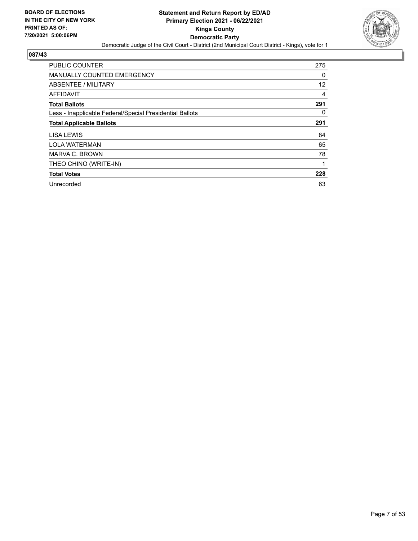

| PUBLIC COUNTER                                           | 275      |
|----------------------------------------------------------|----------|
| <b>MANUALLY COUNTED EMERGENCY</b>                        | 0        |
| ABSENTEE / MILITARY                                      | 12       |
| AFFIDAVIT                                                | 4        |
| <b>Total Ballots</b>                                     | 291      |
| Less - Inapplicable Federal/Special Presidential Ballots | $\Omega$ |
| <b>Total Applicable Ballots</b>                          | 291      |
| LISA LEWIS                                               | 84       |
| <b>LOLA WATERMAN</b>                                     | 65       |
| MARVA C. BROWN                                           | 78       |
| THEO CHINO (WRITE-IN)                                    |          |
| <b>Total Votes</b>                                       | 228      |
| Unrecorded                                               | 63       |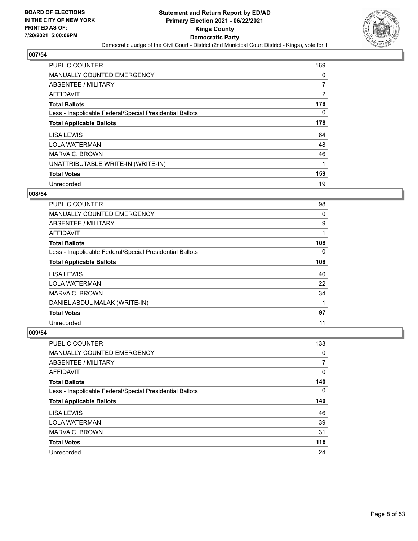

| <b>PUBLIC COUNTER</b>                                    | 169      |
|----------------------------------------------------------|----------|
| MANUALLY COUNTED EMERGENCY                               | 0        |
| ABSENTEE / MILITARY                                      | 7        |
| AFFIDAVIT                                                | 2        |
| <b>Total Ballots</b>                                     | 178      |
| Less - Inapplicable Federal/Special Presidential Ballots | $\Omega$ |
| <b>Total Applicable Ballots</b>                          | 178      |
| <b>LISA LEWIS</b>                                        | 64       |
| <b>LOLA WATERMAN</b>                                     | 48       |
| MARVA C. BROWN                                           | 46       |
| UNATTRIBUTABLE WRITE-IN (WRITE-IN)                       | 1        |
| <b>Total Votes</b>                                       | 159      |
| Unrecorded                                               | 19       |

## **008/54**

| PUBLIC COUNTER                                           | 98       |
|----------------------------------------------------------|----------|
| <b>MANUALLY COUNTED EMERGENCY</b>                        | $\Omega$ |
| ABSENTEE / MILITARY                                      | 9        |
| <b>AFFIDAVIT</b>                                         |          |
| <b>Total Ballots</b>                                     | 108      |
| Less - Inapplicable Federal/Special Presidential Ballots | 0        |
| <b>Total Applicable Ballots</b>                          | 108      |
| LISA LEWIS                                               | 40       |
| <b>LOLA WATERMAN</b>                                     | 22       |
| <b>MARVA C. BROWN</b>                                    | 34       |
| DANIEL ABDUL MALAK (WRITE-IN)                            | 1        |
| <b>Total Votes</b>                                       | 97       |
| Unrecorded                                               | 11       |

| <b>PUBLIC COUNTER</b>                                    | 133 |
|----------------------------------------------------------|-----|
| <b>MANUALLY COUNTED EMERGENCY</b>                        | 0   |
| ABSENTEE / MILITARY                                      | 7   |
| AFFIDAVIT                                                | 0   |
| <b>Total Ballots</b>                                     | 140 |
| Less - Inapplicable Federal/Special Presidential Ballots | 0   |
|                                                          |     |
| <b>Total Applicable Ballots</b>                          | 140 |
| LISA LEWIS                                               | 46  |
| <b>LOLA WATERMAN</b>                                     | 39  |
| MARVA C. BROWN                                           | 31  |
| <b>Total Votes</b>                                       | 116 |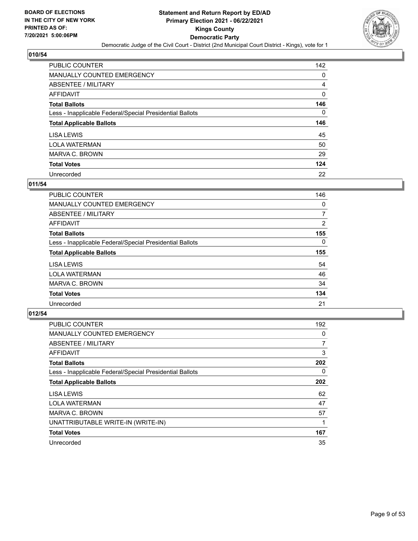

| PUBLIC COUNTER                                           | 142      |
|----------------------------------------------------------|----------|
| <b>MANUALLY COUNTED EMERGENCY</b>                        | $\Omega$ |
| ABSENTEE / MILITARY                                      | 4        |
| AFFIDAVIT                                                | 0        |
| <b>Total Ballots</b>                                     | 146      |
| Less - Inapplicable Federal/Special Presidential Ballots | $\Omega$ |
| <b>Total Applicable Ballots</b>                          | 146      |
|                                                          |          |
| LISA LEWIS                                               | 45       |
| <b>LOLA WATERMAN</b>                                     | 50       |
| MARVA C. BROWN                                           | 29       |
| <b>Total Votes</b>                                       | 124      |

#### **011/54**

| <b>PUBLIC COUNTER</b>                                    | 146      |
|----------------------------------------------------------|----------|
| <b>MANUALLY COUNTED EMERGENCY</b>                        | 0        |
| ABSENTEE / MILITARY                                      | 7        |
| <b>AFFIDAVIT</b>                                         | 2        |
| <b>Total Ballots</b>                                     | 155      |
| Less - Inapplicable Federal/Special Presidential Ballots | $\Omega$ |
| <b>Total Applicable Ballots</b>                          | 155      |
| LISA LEWIS                                               | 54       |
| <b>LOLA WATERMAN</b>                                     | 46       |
| MARVA C. BROWN                                           | 34       |
| <b>Total Votes</b>                                       | 134      |
| Unrecorded                                               | 21       |

| <b>PUBLIC COUNTER</b>                                    | 192            |
|----------------------------------------------------------|----------------|
| <b>MANUALLY COUNTED EMERGENCY</b>                        | 0              |
| ABSENTEE / MILITARY                                      | $\overline{7}$ |
| AFFIDAVIT                                                | 3              |
| <b>Total Ballots</b>                                     | 202            |
| Less - Inapplicable Federal/Special Presidential Ballots | $\Omega$       |
| <b>Total Applicable Ballots</b>                          | 202            |
| LISA LEWIS                                               | 62             |
| <b>LOLA WATERMAN</b>                                     | 47             |
| MARVA C. BROWN                                           | 57             |
| UNATTRIBUTABLE WRITE-IN (WRITE-IN)                       |                |
| <b>Total Votes</b>                                       | 167            |
| Unrecorded                                               | 35             |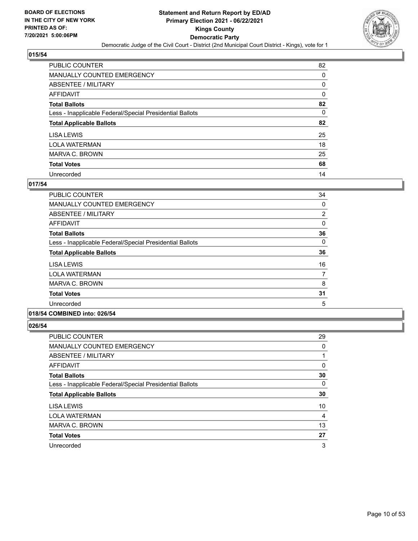

| PUBLIC COUNTER                                           | 82       |
|----------------------------------------------------------|----------|
| <b>MANUALLY COUNTED EMERGENCY</b>                        | $\Omega$ |
| ABSENTEE / MILITARY                                      | 0        |
| AFFIDAVIT                                                | 0        |
| <b>Total Ballots</b>                                     | 82       |
| Less - Inapplicable Federal/Special Presidential Ballots | $\Omega$ |
| <b>Total Applicable Ballots</b>                          | 82       |
| LISA LEWIS                                               | 25       |
| <b>LOLA WATERMAN</b>                                     | 18       |
| MARVA C. BROWN                                           | 25       |
| <b>Total Votes</b>                                       | 68       |
| Unrecorded                                               | 14       |

## **017/54**

| <b>PUBLIC COUNTER</b>                                    | 34             |
|----------------------------------------------------------|----------------|
| <b>MANUALLY COUNTED EMERGENCY</b>                        | 0              |
| ABSENTEE / MILITARY                                      | $\overline{2}$ |
| AFFIDAVIT                                                | 0              |
| <b>Total Ballots</b>                                     | 36             |
| Less - Inapplicable Federal/Special Presidential Ballots | 0              |
| <b>Total Applicable Ballots</b>                          | 36             |
| LISA LEWIS                                               | 16             |
| <b>LOLA WATERMAN</b>                                     | 7              |
| MARVA C. BROWN                                           | 8              |
| <b>Total Votes</b>                                       | 31             |
| Unrecorded                                               | 5              |
|                                                          |                |

# **018/54 COMBINED into: 026/54**

| <b>PUBLIC COUNTER</b>                                    | 29 |
|----------------------------------------------------------|----|
| MANUALLY COUNTED EMERGENCY                               | 0  |
| ABSENTEE / MILITARY                                      |    |
| AFFIDAVIT                                                | 0  |
| <b>Total Ballots</b>                                     | 30 |
| Less - Inapplicable Federal/Special Presidential Ballots | 0  |
| <b>Total Applicable Ballots</b>                          | 30 |
| LISA LEWIS                                               | 10 |
| <b>LOLA WATERMAN</b>                                     | 4  |
| MARVA C. BROWN                                           | 13 |
| <b>Total Votes</b>                                       | 27 |
| Unrecorded                                               | 3  |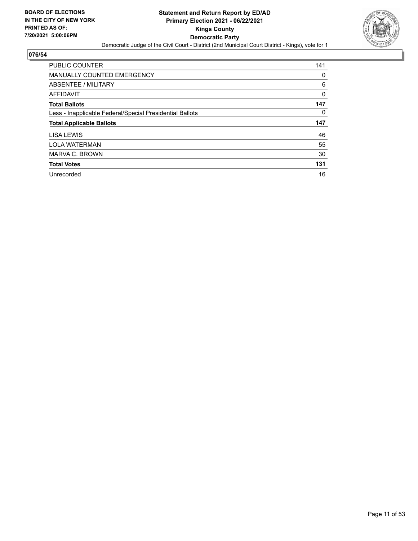

| <b>PUBLIC COUNTER</b>                                    | 141 |
|----------------------------------------------------------|-----|
| <b>MANUALLY COUNTED EMERGENCY</b>                        | 0   |
| ABSENTEE / MILITARY                                      | 6   |
| AFFIDAVIT                                                | 0   |
| <b>Total Ballots</b>                                     | 147 |
| Less - Inapplicable Federal/Special Presidential Ballots | 0   |
|                                                          |     |
| <b>Total Applicable Ballots</b>                          | 147 |
| LISA LEWIS                                               | 46  |
| <b>LOLA WATERMAN</b>                                     | 55  |
| MARVA C. BROWN                                           | 30  |
| <b>Total Votes</b>                                       | 131 |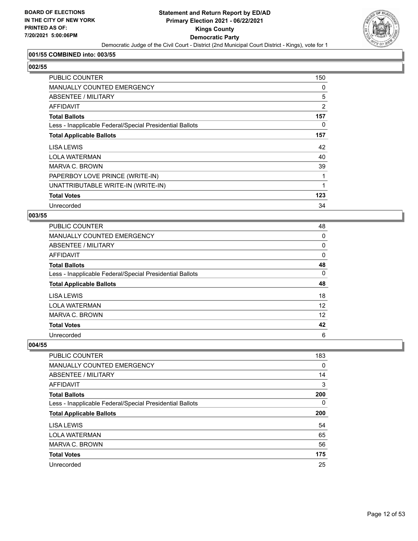

## **001/55 COMBINED into: 003/55**

# **002/55**

| <b>PUBLIC COUNTER</b>                                    | 150 |
|----------------------------------------------------------|-----|
| <b>MANUALLY COUNTED EMERGENCY</b>                        | 0   |
| ABSENTEE / MILITARY                                      | 5   |
| AFFIDAVIT                                                | 2   |
| <b>Total Ballots</b>                                     | 157 |
| Less - Inapplicable Federal/Special Presidential Ballots | 0   |
| <b>Total Applicable Ballots</b>                          | 157 |
| LISA LEWIS                                               | 42  |
| <b>LOLA WATERMAN</b>                                     | 40  |
| <b>MARVA C. BROWN</b>                                    | 39  |
| PAPERBOY LOVE PRINCE (WRITE-IN)                          | 1   |
| UNATTRIBUTABLE WRITE-IN (WRITE-IN)                       | 1   |
| <b>Total Votes</b>                                       | 123 |
| Unrecorded                                               | 34  |

#### **003/55**

| <b>PUBLIC COUNTER</b>                                    | 48 |
|----------------------------------------------------------|----|
| MANUALLY COUNTED EMERGENCY                               | 0  |
| ABSENTEE / MILITARY                                      | 0  |
| AFFIDAVIT                                                | 0  |
| <b>Total Ballots</b>                                     | 48 |
| Less - Inapplicable Federal/Special Presidential Ballots | 0  |
| <b>Total Applicable Ballots</b>                          | 48 |
| LISA LEWIS                                               | 18 |
| <b>LOLA WATERMAN</b>                                     | 12 |
| MARVA C. BROWN                                           | 12 |
| <b>Total Votes</b>                                       | 42 |
| Unrecorded                                               | 6  |

| PUBLIC COUNTER                                           | 183 |
|----------------------------------------------------------|-----|
| MANUALLY COUNTED EMERGENCY                               | 0   |
| ABSENTEE / MILITARY                                      | 14  |
| AFFIDAVIT                                                | 3   |
| <b>Total Ballots</b>                                     | 200 |
| Less - Inapplicable Federal/Special Presidential Ballots | 0   |
| <b>Total Applicable Ballots</b>                          | 200 |
| LISA LEWIS                                               | 54  |
| <b>LOLA WATERMAN</b>                                     | 65  |
| MARVA C. BROWN                                           | 56  |
| <b>Total Votes</b>                                       | 175 |
| Unrecorded                                               | 25  |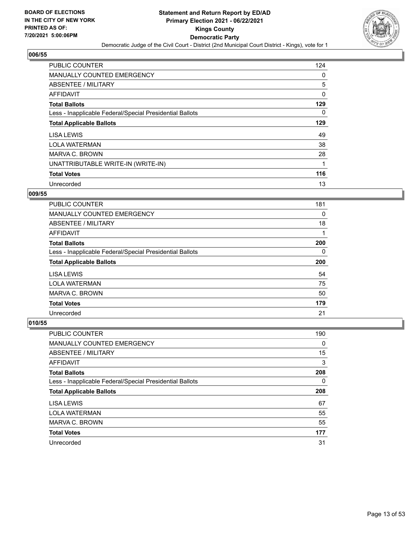

| PUBLIC COUNTER                                           | 124      |
|----------------------------------------------------------|----------|
| <b>MANUALLY COUNTED EMERGENCY</b>                        | $\Omega$ |
| ABSENTEE / MILITARY                                      | 5        |
| <b>AFFIDAVIT</b>                                         | 0        |
| <b>Total Ballots</b>                                     | 129      |
| Less - Inapplicable Federal/Special Presidential Ballots | $\Omega$ |
| <b>Total Applicable Ballots</b>                          | 129      |
| LISA LEWIS                                               | 49       |
| <b>LOLA WATERMAN</b>                                     | 38       |
| MARVA C. BROWN                                           | 28       |
| UNATTRIBUTABLE WRITE-IN (WRITE-IN)                       | 1        |
| <b>Total Votes</b>                                       | 116      |
| Unrecorded                                               | 13       |

#### **009/55**

| <b>PUBLIC COUNTER</b>                                    | 181 |
|----------------------------------------------------------|-----|
| <b>MANUALLY COUNTED EMERGENCY</b>                        | 0   |
| ABSENTEE / MILITARY                                      | 18  |
| AFFIDAVIT                                                |     |
| <b>Total Ballots</b>                                     | 200 |
| Less - Inapplicable Federal/Special Presidential Ballots | 0   |
|                                                          |     |
| <b>Total Applicable Ballots</b>                          | 200 |
| LISA LEWIS                                               | 54  |
| <b>LOLA WATERMAN</b>                                     | 75  |
| MARVA C. BROWN                                           | 50  |
| <b>Total Votes</b>                                       | 179 |

| <b>PUBLIC COUNTER</b>                                    | 190 |
|----------------------------------------------------------|-----|
| <b>MANUALLY COUNTED EMERGENCY</b>                        | 0   |
| ABSENTEE / MILITARY                                      | 15  |
| AFFIDAVIT                                                | 3   |
| <b>Total Ballots</b>                                     | 208 |
| Less - Inapplicable Federal/Special Presidential Ballots | 0   |
|                                                          |     |
| <b>Total Applicable Ballots</b>                          | 208 |
| LISA LEWIS                                               | 67  |
| <b>LOLA WATERMAN</b>                                     | 55  |
| MARVA C. BROWN                                           | 55  |
| <b>Total Votes</b>                                       | 177 |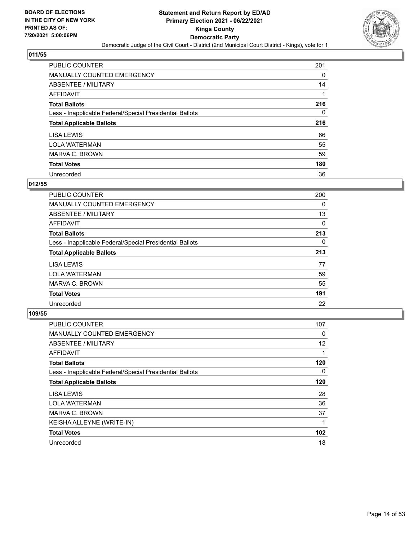

| PUBLIC COUNTER                                           | 201 |
|----------------------------------------------------------|-----|
| <b>MANUALLY COUNTED EMERGENCY</b>                        | 0   |
| ABSENTEE / MILITARY                                      | 14  |
| AFFIDAVIT                                                |     |
| <b>Total Ballots</b>                                     | 216 |
| Less - Inapplicable Federal/Special Presidential Ballots | 0   |
| <b>Total Applicable Ballots</b>                          | 216 |
| LISA LEWIS                                               | 66  |
| <b>LOLA WATERMAN</b>                                     | 55  |
| MARVA C. BROWN                                           | 59  |
| <b>Total Votes</b>                                       | 180 |
| Unrecorded                                               | 36  |

#### **012/55**

| <b>PUBLIC COUNTER</b>                                    | 200      |
|----------------------------------------------------------|----------|
| <b>MANUALLY COUNTED EMERGENCY</b>                        | 0        |
| ABSENTEE / MILITARY                                      | 13       |
| <b>AFFIDAVIT</b>                                         | $\Omega$ |
| <b>Total Ballots</b>                                     | 213      |
| Less - Inapplicable Federal/Special Presidential Ballots | $\Omega$ |
| <b>Total Applicable Ballots</b>                          | 213      |
| LISA LEWIS                                               | 77       |
| <b>LOLA WATERMAN</b>                                     | 59       |
| MARVA C. BROWN                                           | 55       |
| <b>Total Votes</b>                                       | 191      |
| Unrecorded                                               | 22       |

| <b>PUBLIC COUNTER</b>                                    | 107 |
|----------------------------------------------------------|-----|
| <b>MANUALLY COUNTED EMERGENCY</b>                        | 0   |
| ABSENTEE / MILITARY                                      | 12  |
| <b>AFFIDAVIT</b>                                         |     |
| <b>Total Ballots</b>                                     | 120 |
| Less - Inapplicable Federal/Special Presidential Ballots | 0   |
| <b>Total Applicable Ballots</b>                          | 120 |
| LISA LEWIS                                               | 28  |
| <b>LOLA WATERMAN</b>                                     | 36  |
| <b>MARVA C. BROWN</b>                                    | 37  |
| KEISHA ALLEYNE (WRITE-IN)                                |     |
| <b>Total Votes</b>                                       | 102 |
| Unrecorded                                               | 18  |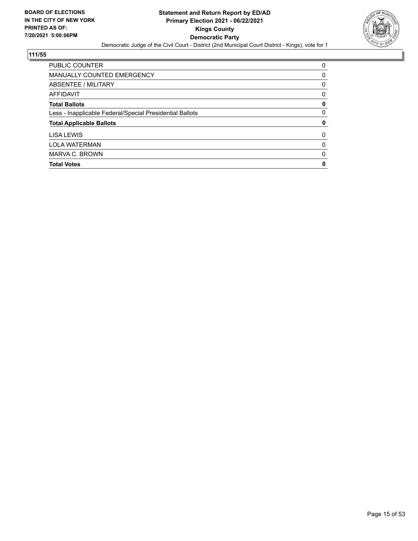

| <b>PUBLIC COUNTER</b>                                    | 0 |
|----------------------------------------------------------|---|
| MANUALLY COUNTED EMERGENCY                               | 0 |
| ABSENTEE / MILITARY                                      | 0 |
| AFFIDAVIT                                                | 0 |
| <b>Total Ballots</b>                                     | 0 |
| Less - Inapplicable Federal/Special Presidential Ballots | 0 |
| <b>Total Applicable Ballots</b>                          | 0 |
| LISA LEWIS                                               | 0 |
| <b>LOLA WATERMAN</b>                                     | 0 |
| MARVA C. BROWN                                           | 0 |
| <b>Total Votes</b>                                       | 0 |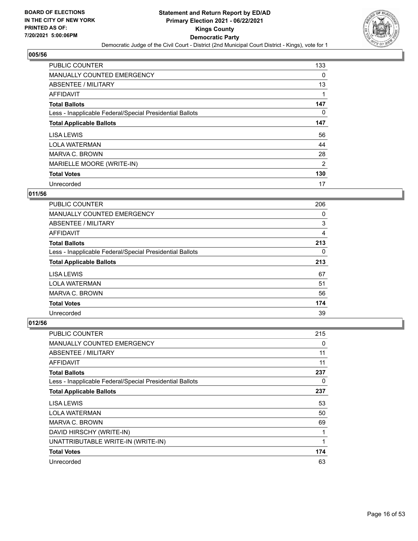

| <b>PUBLIC COUNTER</b>                                    | 133      |
|----------------------------------------------------------|----------|
| MANUALLY COUNTED EMERGENCY                               | 0        |
| ABSENTEE / MILITARY                                      | 13       |
| <b>AFFIDAVIT</b>                                         |          |
| <b>Total Ballots</b>                                     | 147      |
| Less - Inapplicable Federal/Special Presidential Ballots | $\Omega$ |
| <b>Total Applicable Ballots</b>                          | 147      |
| LISA LEWIS                                               | 56       |
| <b>LOLA WATERMAN</b>                                     | 44       |
| MARVA C. BROWN                                           | 28       |
| MARIELLE MOORE (WRITE-IN)                                | 2        |
| <b>Total Votes</b>                                       | 130      |
| Unrecorded                                               | 17       |

## **011/56**

| <b>PUBLIC COUNTER</b>                                    | 206 |
|----------------------------------------------------------|-----|
| <b>MANUALLY COUNTED EMERGENCY</b>                        | 0   |
| ABSENTEE / MILITARY                                      | 3   |
| AFFIDAVIT                                                | 4   |
| <b>Total Ballots</b>                                     | 213 |
| Less - Inapplicable Federal/Special Presidential Ballots | 0   |
| <b>Total Applicable Ballots</b>                          | 213 |
| LISA LEWIS                                               | 67  |
| <b>LOLA WATERMAN</b>                                     | 51  |
| MARVA C. BROWN                                           | 56  |
| <b>Total Votes</b>                                       | 174 |
| Unrecorded                                               | 39  |

| <b>PUBLIC COUNTER</b>                                    | 215 |
|----------------------------------------------------------|-----|
| MANUALLY COUNTED EMERGENCY                               | 0   |
| ABSENTEE / MILITARY                                      | 11  |
| AFFIDAVIT                                                | 11  |
| <b>Total Ballots</b>                                     | 237 |
| Less - Inapplicable Federal/Special Presidential Ballots | 0   |
| <b>Total Applicable Ballots</b>                          | 237 |
| LISA LEWIS                                               | 53  |
| <b>LOLA WATERMAN</b>                                     | 50  |
| MARVA C. BROWN                                           | 69  |
| DAVID HIRSCHY (WRITE-IN)                                 | 1   |
| UNATTRIBUTABLE WRITE-IN (WRITE-IN)                       | 1   |
| <b>Total Votes</b>                                       | 174 |
| Unrecorded                                               | 63  |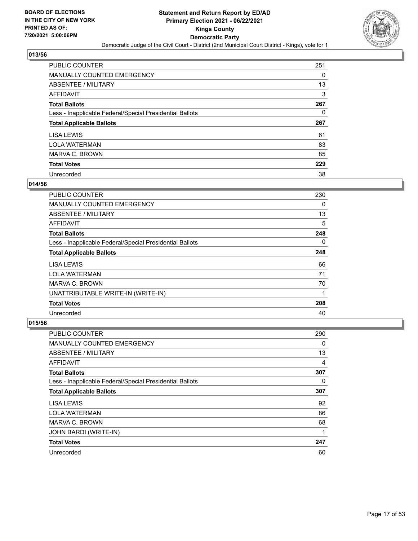

| PUBLIC COUNTER                                           | 251 |
|----------------------------------------------------------|-----|
| MANUALLY COUNTED EMERGENCY                               | 0   |
| ABSENTEE / MILITARY                                      | 13  |
| AFFIDAVIT                                                | 3   |
| <b>Total Ballots</b>                                     | 267 |
| Less - Inapplicable Federal/Special Presidential Ballots | 0   |
|                                                          |     |
| <b>Total Applicable Ballots</b>                          | 267 |
| LISA LEWIS                                               | 61  |
| <b>LOLA WATERMAN</b>                                     | 83  |
| MARVA C. BROWN                                           | 85  |
| <b>Total Votes</b>                                       | 229 |

### **014/56**

| <b>PUBLIC COUNTER</b>                                    | 230 |
|----------------------------------------------------------|-----|
| <b>MANUALLY COUNTED EMERGENCY</b>                        | 0   |
| ABSENTEE / MILITARY                                      | 13  |
| <b>AFFIDAVIT</b>                                         | 5   |
| <b>Total Ballots</b>                                     | 248 |
| Less - Inapplicable Federal/Special Presidential Ballots | 0   |
| <b>Total Applicable Ballots</b>                          | 248 |
| LISA LEWIS                                               | 66  |
| <b>LOLA WATERMAN</b>                                     | 71  |
| MARVA C. BROWN                                           | 70  |
| UNATTRIBUTABLE WRITE-IN (WRITE-IN)                       | 1   |
| <b>Total Votes</b>                                       | 208 |
| Unrecorded                                               | 40  |

| <b>PUBLIC COUNTER</b>                                    | 290      |
|----------------------------------------------------------|----------|
| MANUALLY COUNTED EMERGENCY                               | $\Omega$ |
| ABSENTEE / MILITARY                                      | 13       |
| AFFIDAVIT                                                | 4        |
| <b>Total Ballots</b>                                     | 307      |
| Less - Inapplicable Federal/Special Presidential Ballots | $\Omega$ |
| <b>Total Applicable Ballots</b>                          | 307      |
| LISA LEWIS                                               | 92       |
| <b>LOLA WATERMAN</b>                                     | 86       |
| MARVA C. BROWN                                           | 68       |
| JOHN BARDI (WRITE-IN)                                    |          |
| <b>Total Votes</b>                                       | 247      |
| Unrecorded                                               | 60       |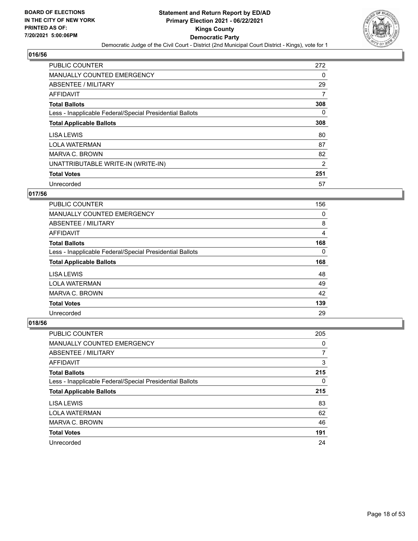

| PUBLIC COUNTER                                           | 272            |
|----------------------------------------------------------|----------------|
| <b>MANUALLY COUNTED EMERGENCY</b>                        | $\Omega$       |
| ABSENTEE / MILITARY                                      | 29             |
| AFFIDAVIT                                                | 7              |
| <b>Total Ballots</b>                                     | 308            |
| Less - Inapplicable Federal/Special Presidential Ballots | $\Omega$       |
| <b>Total Applicable Ballots</b>                          | 308            |
| LISA LEWIS                                               | 80             |
| <b>LOLA WATERMAN</b>                                     | 87             |
| <b>MARVA C. BROWN</b>                                    | 82             |
| UNATTRIBUTABLE WRITE-IN (WRITE-IN)                       | $\overline{2}$ |
| <b>Total Votes</b>                                       | 251            |
| Unrecorded                                               | 57             |

## **017/56**

| <b>PUBLIC COUNTER</b>                                    | 156 |
|----------------------------------------------------------|-----|
| <b>MANUALLY COUNTED EMERGENCY</b>                        | 0   |
| ABSENTEE / MILITARY                                      | 8   |
| AFFIDAVIT                                                | 4   |
| <b>Total Ballots</b>                                     | 168 |
| Less - Inapplicable Federal/Special Presidential Ballots | 0   |
|                                                          |     |
| <b>Total Applicable Ballots</b>                          | 168 |
| LISA LEWIS                                               | 48  |
| <b>LOLA WATERMAN</b>                                     | 49  |
| MARVA C. BROWN                                           | 42  |
| <b>Total Votes</b>                                       | 139 |

| <b>PUBLIC COUNTER</b>                                    | 205 |
|----------------------------------------------------------|-----|
| <b>MANUALLY COUNTED EMERGENCY</b>                        | 0   |
| ABSENTEE / MILITARY                                      | 7   |
| AFFIDAVIT                                                | 3   |
| <b>Total Ballots</b>                                     | 215 |
| Less - Inapplicable Federal/Special Presidential Ballots | 0   |
|                                                          |     |
| <b>Total Applicable Ballots</b>                          | 215 |
| <b>LISA LEWIS</b>                                        | 83  |
| <b>LOLA WATERMAN</b>                                     | 62  |
| MARVA C. BROWN                                           | 46  |
| <b>Total Votes</b>                                       | 191 |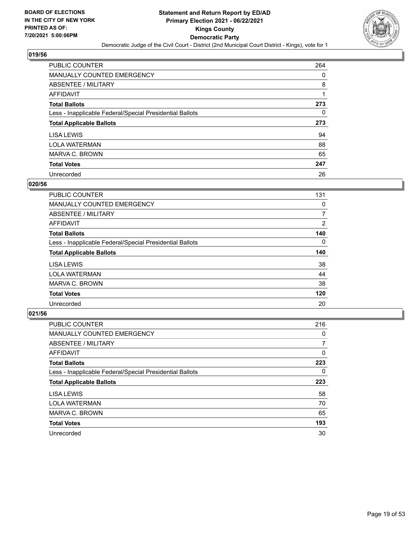

| <b>PUBLIC COUNTER</b>                                    | 264 |
|----------------------------------------------------------|-----|
| <b>MANUALLY COUNTED EMERGENCY</b>                        | 0   |
| ABSENTEE / MILITARY                                      | 8   |
| AFFIDAVIT                                                |     |
| <b>Total Ballots</b>                                     | 273 |
| Less - Inapplicable Federal/Special Presidential Ballots | 0   |
| <b>Total Applicable Ballots</b>                          | 273 |
|                                                          |     |
| LISA LEWIS                                               | 94  |
| <b>LOLA WATERMAN</b>                                     | 88  |
| MARVA C. BROWN                                           | 65  |
| <b>Total Votes</b>                                       | 247 |

#### **020/56**

| <b>PUBLIC COUNTER</b>                                    | 131            |
|----------------------------------------------------------|----------------|
| <b>MANUALLY COUNTED EMERGENCY</b>                        | 0              |
| ABSENTEE / MILITARY                                      | 7              |
| AFFIDAVIT                                                | $\overline{2}$ |
| <b>Total Ballots</b>                                     | 140            |
| Less - Inapplicable Federal/Special Presidential Ballots | $\Omega$       |
| <b>Total Applicable Ballots</b>                          | 140            |
| LISA LEWIS                                               | 38             |
| <b>LOLA WATERMAN</b>                                     | 44             |
| MARVA C. BROWN                                           | 38             |
| <b>Total Votes</b>                                       | 120            |
| Unrecorded                                               | 20             |

| <b>PUBLIC COUNTER</b>                                    | 216       |
|----------------------------------------------------------|-----------|
| MANUALLY COUNTED EMERGENCY                               | 0         |
| ABSENTEE / MILITARY                                      | 7         |
| <b>AFFIDAVIT</b>                                         | 0         |
| <b>Total Ballots</b>                                     | 223       |
| Less - Inapplicable Federal/Special Presidential Ballots | $\Omega$  |
| <b>Total Applicable Ballots</b>                          | 223       |
|                                                          |           |
| LISA LEWIS                                               |           |
| <b>LOLA WATERMAN</b>                                     | 70        |
| MARVA C. BROWN                                           | 65        |
| <b>Total Votes</b>                                       | 58<br>193 |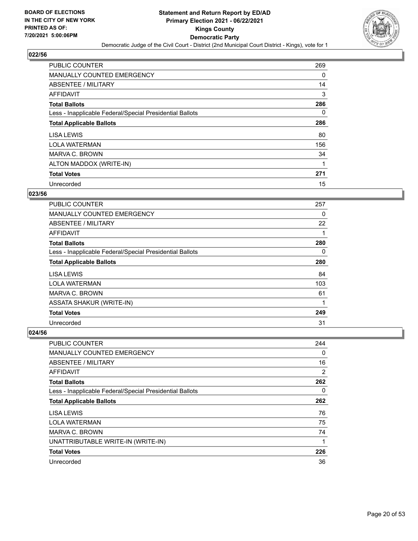

| <b>PUBLIC COUNTER</b>                                    | 269      |
|----------------------------------------------------------|----------|
| <b>MANUALLY COUNTED EMERGENCY</b>                        | 0        |
| ABSENTEE / MILITARY                                      | 14       |
| AFFIDAVIT                                                | 3        |
| <b>Total Ballots</b>                                     | 286      |
| Less - Inapplicable Federal/Special Presidential Ballots | $\Omega$ |
| <b>Total Applicable Ballots</b>                          | 286      |
| LISA LEWIS                                               | 80       |
| <b>LOLA WATERMAN</b>                                     | 156      |
| MARVA C. BROWN                                           | 34       |
| ALTON MADDOX (WRITE-IN)                                  |          |
| <b>Total Votes</b>                                       | 271      |
| Unrecorded                                               | 15       |

## **023/56**

| <b>PUBLIC COUNTER</b>                                    | 257      |
|----------------------------------------------------------|----------|
| <b>MANUALLY COUNTED EMERGENCY</b>                        | 0        |
| ABSENTEE / MILITARY                                      | 22       |
| <b>AFFIDAVIT</b>                                         |          |
| <b>Total Ballots</b>                                     | 280      |
| Less - Inapplicable Federal/Special Presidential Ballots | $\Omega$ |
| <b>Total Applicable Ballots</b>                          | 280      |
| LISA LEWIS                                               | 84       |
| <b>LOLA WATERMAN</b>                                     | 103      |
| MARVA C. BROWN                                           | 61       |
| ASSATA SHAKUR (WRITE-IN)                                 | 1        |
| <b>Total Votes</b>                                       | 249      |
| Unrecorded                                               | 31       |

| <b>PUBLIC COUNTER</b>                                    | 244            |
|----------------------------------------------------------|----------------|
| <b>MANUALLY COUNTED EMERGENCY</b>                        | 0              |
| ABSENTEE / MILITARY                                      | 16             |
| AFFIDAVIT                                                | $\overline{2}$ |
| <b>Total Ballots</b>                                     | 262            |
| Less - Inapplicable Federal/Special Presidential Ballots | $\Omega$       |
| <b>Total Applicable Ballots</b>                          | 262            |
| LISA LEWIS                                               | 76             |
| <b>LOLA WATERMAN</b>                                     | 75             |
| MARVA C. BROWN                                           | 74             |
| UNATTRIBUTABLE WRITE-IN (WRITE-IN)                       | 1              |
| <b>Total Votes</b>                                       | 226            |
| Unrecorded                                               | 36             |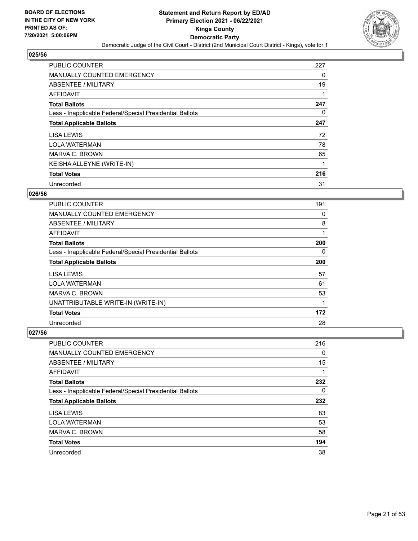

| <b>PUBLIC COUNTER</b>                                    | 227 |
|----------------------------------------------------------|-----|
| <b>MANUALLY COUNTED EMERGENCY</b>                        | 0   |
| ABSENTEE / MILITARY                                      | 19  |
| AFFIDAVIT                                                |     |
| <b>Total Ballots</b>                                     | 247 |
| Less - Inapplicable Federal/Special Presidential Ballots | 0   |
| <b>Total Applicable Ballots</b>                          | 247 |
| LISA LEWIS                                               | 72  |
| <b>LOLA WATERMAN</b>                                     | 78  |
| MARVA C. BROWN                                           | 65  |
| KEISHA ALLEYNE (WRITE-IN)                                | 1   |
| <b>Total Votes</b>                                       | 216 |
| Unrecorded                                               | 31  |

## **026/56**

| <b>PUBLIC COUNTER</b>                                    | 191 |
|----------------------------------------------------------|-----|
| <b>MANUALLY COUNTED EMERGENCY</b>                        | 0   |
| ABSENTEE / MILITARY                                      | 8   |
| <b>AFFIDAVIT</b>                                         |     |
| <b>Total Ballots</b>                                     | 200 |
| Less - Inapplicable Federal/Special Presidential Ballots | 0   |
| <b>Total Applicable Ballots</b>                          | 200 |
| LISA LEWIS                                               | 57  |
| <b>LOLA WATERMAN</b>                                     | 61  |
| MARVA C. BROWN                                           | 53  |
| UNATTRIBUTABLE WRITE-IN (WRITE-IN)                       |     |
| <b>Total Votes</b>                                       | 172 |
| Unrecorded                                               | 28  |

| PUBLIC COUNTER                                           | 216 |
|----------------------------------------------------------|-----|
| <b>MANUALLY COUNTED EMERGENCY</b>                        | 0   |
| ABSENTEE / MILITARY                                      | 15  |
| AFFIDAVIT                                                |     |
| <b>Total Ballots</b>                                     | 232 |
| Less - Inapplicable Federal/Special Presidential Ballots | 0   |
|                                                          |     |
| <b>Total Applicable Ballots</b>                          | 232 |
| LISA LEWIS                                               | 83  |
| <b>LOLA WATERMAN</b>                                     | 53  |
| MARVA C. BROWN                                           | 58  |
| <b>Total Votes</b>                                       | 194 |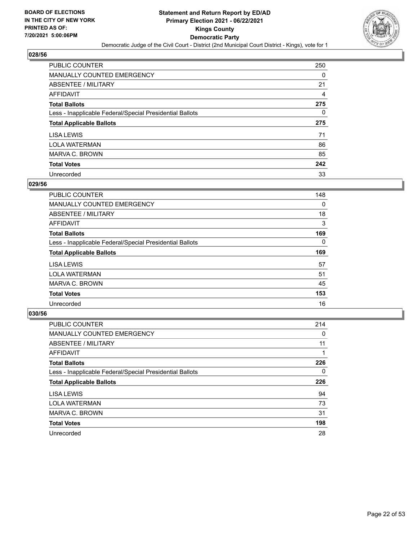

| <b>PUBLIC COUNTER</b>                                    | 250 |
|----------------------------------------------------------|-----|
| <b>MANUALLY COUNTED EMERGENCY</b>                        | 0   |
| ABSENTEE / MILITARY                                      | 21  |
| <b>AFFIDAVIT</b>                                         | 4   |
| <b>Total Ballots</b>                                     | 275 |
| Less - Inapplicable Federal/Special Presidential Ballots | 0   |
| <b>Total Applicable Ballots</b>                          | 275 |
|                                                          |     |
| LISA LEWIS                                               | 71  |
| <b>LOLA WATERMAN</b>                                     | 86  |
| MARVA C. BROWN                                           | 85  |
| <b>Total Votes</b>                                       | 242 |

#### **029/56**

| <b>PUBLIC COUNTER</b>                                    | 148      |
|----------------------------------------------------------|----------|
| <b>MANUALLY COUNTED EMERGENCY</b>                        | 0        |
| ABSENTEE / MILITARY                                      | 18       |
| <b>AFFIDAVIT</b>                                         | 3        |
| <b>Total Ballots</b>                                     | 169      |
| Less - Inapplicable Federal/Special Presidential Ballots | $\Omega$ |
| <b>Total Applicable Ballots</b>                          | 169      |
| LISA LEWIS                                               | 57       |
| <b>LOLA WATERMAN</b>                                     | 51       |
| MARVA C. BROWN                                           | 45       |
| <b>Total Votes</b>                                       | 153      |
| Unrecorded                                               | 16       |

| <b>PUBLIC COUNTER</b>                                    | 214      |
|----------------------------------------------------------|----------|
| <b>MANUALLY COUNTED EMERGENCY</b>                        | $\Omega$ |
| ABSENTEE / MILITARY                                      | 11       |
| <b>AFFIDAVIT</b>                                         |          |
| <b>Total Ballots</b>                                     | 226      |
| Less - Inapplicable Federal/Special Presidential Ballots | $\Omega$ |
| <b>Total Applicable Ballots</b>                          | 226      |
| LISA LEWIS                                               | 94       |
| <b>LOLA WATERMAN</b>                                     | 73       |
| MARVA C. BROWN                                           | 31       |
| <b>Total Votes</b>                                       | 198      |
| Unrecorded                                               | 28       |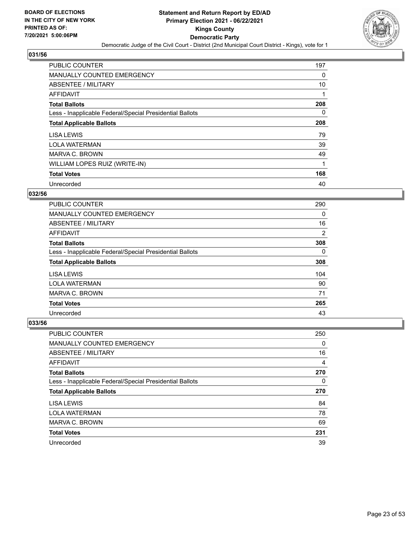

| <b>PUBLIC COUNTER</b>                                    | 197      |
|----------------------------------------------------------|----------|
| <b>MANUALLY COUNTED EMERGENCY</b>                        | 0        |
| ABSENTEE / MILITARY                                      | 10       |
| <b>AFFIDAVIT</b>                                         |          |
| <b>Total Ballots</b>                                     | 208      |
| Less - Inapplicable Federal/Special Presidential Ballots | $\Omega$ |
| <b>Total Applicable Ballots</b>                          | 208      |
| LISA LEWIS                                               | 79       |
| <b>LOLA WATERMAN</b>                                     | 39       |
| MARVA C. BROWN                                           | 49       |
| WILLIAM LOPES RUIZ (WRITE-IN)                            | 1        |
| <b>Total Votes</b>                                       | 168      |
| Unrecorded                                               | 40       |

# **032/56**

| <b>PUBLIC COUNTER</b>                                    | 290 |
|----------------------------------------------------------|-----|
| <b>MANUALLY COUNTED EMERGENCY</b>                        | 0   |
| ABSENTEE / MILITARY                                      | 16  |
| AFFIDAVIT                                                | 2   |
| <b>Total Ballots</b>                                     | 308 |
| Less - Inapplicable Federal/Special Presidential Ballots | 0   |
| <b>Total Applicable Ballots</b>                          | 308 |
| LISA LEWIS                                               | 104 |
| <b>LOLA WATERMAN</b>                                     | 90  |
| MARVA C. BROWN                                           | 71  |
| <b>Total Votes</b>                                       | 265 |
| Unrecorded                                               | 43  |

| <b>PUBLIC COUNTER</b>                                    | 250 |
|----------------------------------------------------------|-----|
| <b>MANUALLY COUNTED EMERGENCY</b>                        | 0   |
| ABSENTEE / MILITARY                                      | 16  |
| AFFIDAVIT                                                | 4   |
| <b>Total Ballots</b>                                     | 270 |
| Less - Inapplicable Federal/Special Presidential Ballots | 0   |
|                                                          |     |
| <b>Total Applicable Ballots</b>                          | 270 |
| LISA LEWIS                                               | 84  |
| <b>LOLA WATERMAN</b>                                     | 78  |
| MARVA C. BROWN                                           | 69  |
| <b>Total Votes</b>                                       | 231 |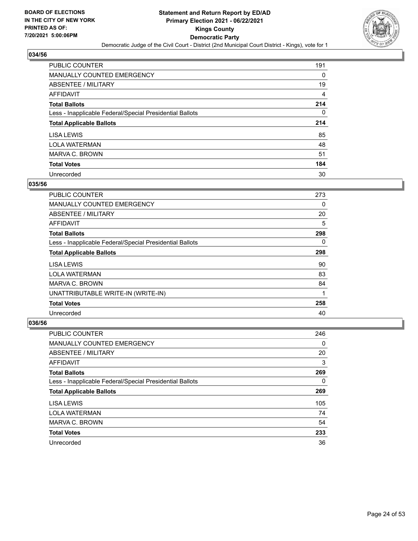

| PUBLIC COUNTER                                           | 191      |
|----------------------------------------------------------|----------|
| <b>MANUALLY COUNTED EMERGENCY</b>                        | 0        |
| ABSENTEE / MILITARY                                      | 19       |
| AFFIDAVIT                                                | 4        |
| <b>Total Ballots</b>                                     | 214      |
| Less - Inapplicable Federal/Special Presidential Ballots | $\Omega$ |
| <b>Total Applicable Ballots</b>                          | 214      |
| LISA LEWIS                                               | 85       |
| <b>LOLA WATERMAN</b>                                     | 48       |
| MARVA C. BROWN                                           | 51       |
| <b>Total Votes</b>                                       | 184      |
| Unrecorded                                               | 30       |

#### **035/56**

| <b>PUBLIC COUNTER</b>                                    | 273 |
|----------------------------------------------------------|-----|
| <b>MANUALLY COUNTED EMERGENCY</b>                        | 0   |
| ABSENTEE / MILITARY                                      | 20  |
| <b>AFFIDAVIT</b>                                         | 5   |
| <b>Total Ballots</b>                                     | 298 |
| Less - Inapplicable Federal/Special Presidential Ballots | 0   |
| <b>Total Applicable Ballots</b>                          | 298 |
| LISA LEWIS                                               | 90  |
| <b>LOLA WATERMAN</b>                                     | 83  |
| MARVA C. BROWN                                           | 84  |
| UNATTRIBUTABLE WRITE-IN (WRITE-IN)                       | 1   |
| <b>Total Votes</b>                                       | 258 |
| Unrecorded                                               | 40  |

| <b>PUBLIC COUNTER</b>                                    | 246 |
|----------------------------------------------------------|-----|
| <b>MANUALLY COUNTED EMERGENCY</b>                        | 0   |
| ABSENTEE / MILITARY                                      | 20  |
| AFFIDAVIT                                                | 3   |
| <b>Total Ballots</b>                                     | 269 |
| Less - Inapplicable Federal/Special Presidential Ballots | 0   |
| <b>Total Applicable Ballots</b>                          | 269 |
| LISA LEWIS                                               | 105 |
| <b>LOLA WATERMAN</b>                                     | 74  |
| MARVA C. BROWN                                           | 54  |
| <b>Total Votes</b>                                       | 233 |
| Unrecorded                                               | 36  |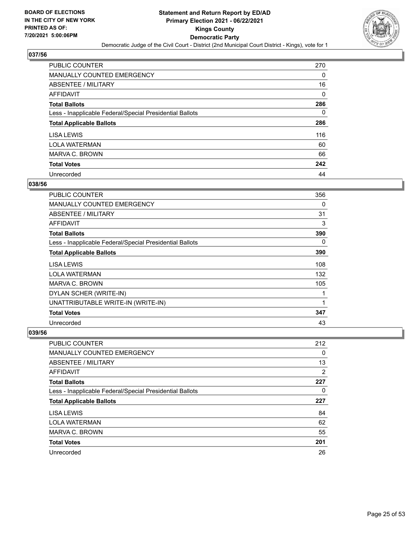

| <b>PUBLIC COUNTER</b>                                    | 270 |
|----------------------------------------------------------|-----|
| <b>MANUALLY COUNTED EMERGENCY</b>                        | 0   |
| ABSENTEE / MILITARY                                      | 16  |
| AFFIDAVIT                                                | 0   |
| <b>Total Ballots</b>                                     | 286 |
| Less - Inapplicable Federal/Special Presidential Ballots | 0   |
| <b>Total Applicable Ballots</b>                          | 286 |
| LISA LEWIS                                               | 116 |
| <b>LOLA WATERMAN</b>                                     | 60  |
| MARVA C. BROWN                                           | 66  |
| <b>Total Votes</b>                                       | 242 |
| Unrecorded                                               | 44  |

#### **038/56**

| <b>PUBLIC COUNTER</b>                                    | 356 |
|----------------------------------------------------------|-----|
| <b>MANUALLY COUNTED EMERGENCY</b>                        | 0   |
| ABSENTEE / MILITARY                                      | 31  |
| AFFIDAVIT                                                | 3   |
| <b>Total Ballots</b>                                     | 390 |
| Less - Inapplicable Federal/Special Presidential Ballots | 0   |
| <b>Total Applicable Ballots</b>                          | 390 |
| LISA LEWIS                                               | 108 |
| <b>LOLA WATERMAN</b>                                     | 132 |
| MARVA C. BROWN                                           | 105 |
| DYLAN SCHER (WRITE-IN)                                   |     |
| UNATTRIBUTABLE WRITE-IN (WRITE-IN)                       | 1   |
| <b>Total Votes</b>                                       | 347 |
| Unrecorded                                               | 43  |

| <b>PUBLIC COUNTER</b>                                    | 212 |
|----------------------------------------------------------|-----|
| <b>MANUALLY COUNTED EMERGENCY</b>                        | 0   |
| ABSENTEE / MILITARY                                      | 13  |
| AFFIDAVIT                                                | 2   |
| <b>Total Ballots</b>                                     | 227 |
| Less - Inapplicable Federal/Special Presidential Ballots | 0   |
|                                                          |     |
| <b>Total Applicable Ballots</b>                          | 227 |
| LISA LEWIS                                               | 84  |
| <b>LOLA WATERMAN</b>                                     | 62  |
| MARVA C. BROWN                                           | 55  |
| <b>Total Votes</b>                                       | 201 |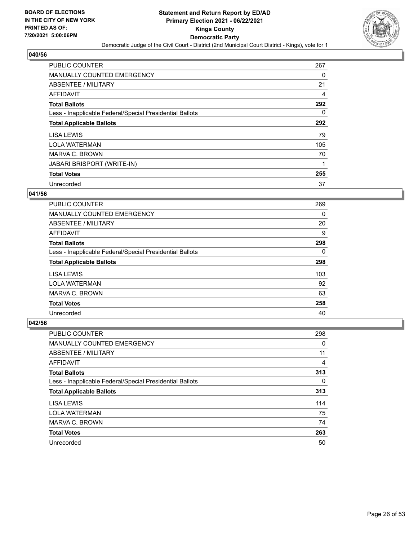

| <b>PUBLIC COUNTER</b>                                    | 267      |
|----------------------------------------------------------|----------|
| <b>MANUALLY COUNTED EMERGENCY</b>                        | 0        |
| ABSENTEE / MILITARY                                      | 21       |
| <b>AFFIDAVIT</b>                                         | 4        |
| <b>Total Ballots</b>                                     | 292      |
| Less - Inapplicable Federal/Special Presidential Ballots | $\Omega$ |
| <b>Total Applicable Ballots</b>                          | 292      |
| LISA LEWIS                                               | 79       |
| <b>LOLA WATERMAN</b>                                     | 105      |
| MARVA C. BROWN                                           | 70       |
| <b>JABARI BRISPORT (WRITE-IN)</b>                        |          |
| <b>Total Votes</b>                                       | 255      |
| Unrecorded                                               | 37       |

#### **041/56**

| <b>PUBLIC COUNTER</b>                                    | 269 |
|----------------------------------------------------------|-----|
| <b>MANUALLY COUNTED EMERGENCY</b>                        | 0   |
| ABSENTEE / MILITARY                                      | 20  |
| AFFIDAVIT                                                | 9   |
| <b>Total Ballots</b>                                     | 298 |
| Less - Inapplicable Federal/Special Presidential Ballots | 0   |
| <b>Total Applicable Ballots</b>                          | 298 |
| LISA LEWIS                                               | 103 |
| <b>LOLA WATERMAN</b>                                     | 92  |
| MARVA C. BROWN                                           | 63  |
| <b>Total Votes</b>                                       | 258 |
| Unrecorded                                               | 40  |

| <b>PUBLIC COUNTER</b>                                    | 298 |
|----------------------------------------------------------|-----|
| <b>MANUALLY COUNTED EMERGENCY</b>                        | 0   |
| ABSENTEE / MILITARY                                      | 11  |
| AFFIDAVIT                                                | 4   |
| <b>Total Ballots</b>                                     | 313 |
| Less - Inapplicable Federal/Special Presidential Ballots | 0   |
| <b>Total Applicable Ballots</b>                          | 313 |
| LISA LEWIS                                               | 114 |
| <b>LOLA WATERMAN</b>                                     | 75  |
| MARVA C. BROWN                                           | 74  |
| <b>Total Votes</b>                                       | 263 |
| Unrecorded                                               | 50  |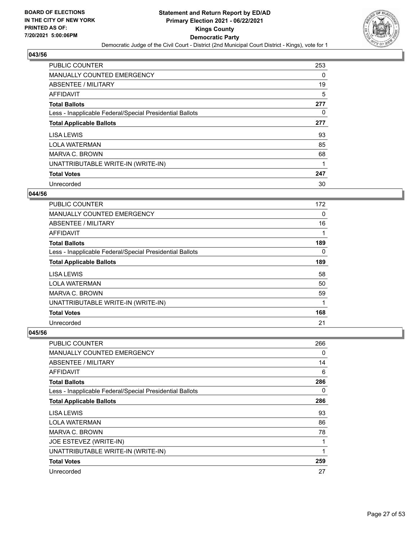

| <b>PUBLIC COUNTER</b>                                    | 253 |
|----------------------------------------------------------|-----|
| <b>MANUALLY COUNTED EMERGENCY</b>                        | 0   |
| ABSENTEE / MILITARY                                      | 19  |
| <b>AFFIDAVIT</b>                                         | 5   |
| <b>Total Ballots</b>                                     | 277 |
| Less - Inapplicable Federal/Special Presidential Ballots | 0   |
| <b>Total Applicable Ballots</b>                          | 277 |
| LISA LEWIS                                               | 93  |
| <b>LOLA WATERMAN</b>                                     | 85  |
| MARVA C. BROWN                                           | 68  |
| UNATTRIBUTABLE WRITE-IN (WRITE-IN)                       | 1   |
| <b>Total Votes</b>                                       | 247 |
| Unrecorded                                               | 30  |

## **044/56**

| <b>PUBLIC COUNTER</b>                                    | 172      |
|----------------------------------------------------------|----------|
| <b>MANUALLY COUNTED EMERGENCY</b>                        | $\Omega$ |
| ABSENTEE / MILITARY                                      | 16       |
| <b>AFFIDAVIT</b>                                         |          |
| <b>Total Ballots</b>                                     | 189      |
| Less - Inapplicable Federal/Special Presidential Ballots | 0        |
| <b>Total Applicable Ballots</b>                          | 189      |
| LISA LEWIS                                               | 58       |
| <b>LOLA WATERMAN</b>                                     | 50       |
| MARVA C. BROWN                                           | 59       |
| UNATTRIBUTABLE WRITE-IN (WRITE-IN)                       | 1        |
| <b>Total Votes</b>                                       | 168      |
| Unrecorded                                               | 21       |

| <b>PUBLIC COUNTER</b>                                    | 266 |
|----------------------------------------------------------|-----|
| <b>MANUALLY COUNTED EMERGENCY</b>                        | 0   |
| ABSENTEE / MILITARY                                      | 14  |
| AFFIDAVIT                                                | 6   |
| <b>Total Ballots</b>                                     | 286 |
| Less - Inapplicable Federal/Special Presidential Ballots | 0   |
| <b>Total Applicable Ballots</b>                          | 286 |
| <b>LISA LEWIS</b>                                        | 93  |
| <b>LOLA WATERMAN</b>                                     | 86  |
| MARVA C. BROWN                                           | 78  |
| JOE ESTEVEZ (WRITE-IN)                                   | 1   |
| UNATTRIBUTABLE WRITE-IN (WRITE-IN)                       | 1   |
| <b>Total Votes</b>                                       | 259 |
| Unrecorded                                               | 27  |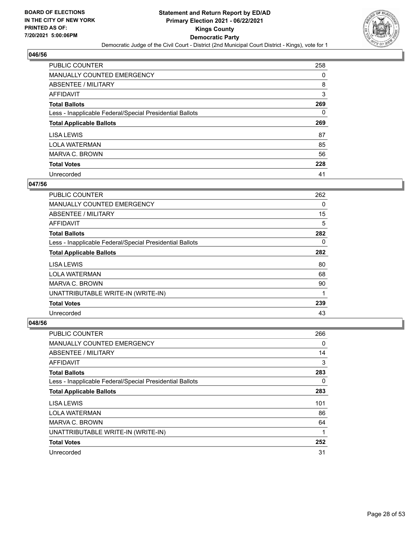

| PUBLIC COUNTER                                           | 258 |
|----------------------------------------------------------|-----|
| <b>MANUALLY COUNTED EMERGENCY</b>                        | 0   |
| ABSENTEE / MILITARY                                      | 8   |
| AFFIDAVIT                                                | 3   |
| <b>Total Ballots</b>                                     | 269 |
| Less - Inapplicable Federal/Special Presidential Ballots | 0   |
| <b>Total Applicable Ballots</b>                          | 269 |
|                                                          |     |
| LISA LEWIS                                               | 87  |
| <b>LOLA WATERMAN</b>                                     | 85  |
| MARVA C. BROWN                                           | 56  |
| <b>Total Votes</b>                                       | 228 |

#### **047/56**

| <b>PUBLIC COUNTER</b>                                    | 262 |
|----------------------------------------------------------|-----|
| <b>MANUALLY COUNTED EMERGENCY</b>                        | 0   |
| ABSENTEE / MILITARY                                      | 15  |
| <b>AFFIDAVIT</b>                                         | 5   |
| <b>Total Ballots</b>                                     | 282 |
| Less - Inapplicable Federal/Special Presidential Ballots | 0   |
| <b>Total Applicable Ballots</b>                          | 282 |
| LISA LEWIS                                               | 80  |
| <b>LOLA WATERMAN</b>                                     | 68  |
| MARVA C. BROWN                                           | 90  |
| UNATTRIBUTABLE WRITE-IN (WRITE-IN)                       |     |
| <b>Total Votes</b>                                       | 239 |
| Unrecorded                                               | 43  |

| <b>PUBLIC COUNTER</b>                                    | 266 |
|----------------------------------------------------------|-----|
| <b>MANUALLY COUNTED EMERGENCY</b>                        | 0   |
| ABSENTEE / MILITARY                                      | 14  |
| AFFIDAVIT                                                | 3   |
| <b>Total Ballots</b>                                     | 283 |
| Less - Inapplicable Federal/Special Presidential Ballots | 0   |
| <b>Total Applicable Ballots</b>                          | 283 |
| LISA LEWIS                                               | 101 |
| <b>LOLA WATERMAN</b>                                     | 86  |
| MARVA C. BROWN                                           | 64  |
| UNATTRIBUTABLE WRITE-IN (WRITE-IN)                       |     |
| <b>Total Votes</b>                                       | 252 |
| Unrecorded                                               | 31  |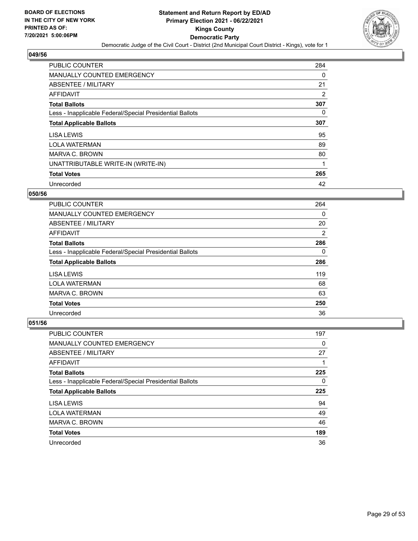

| PUBLIC COUNTER                                           | 284      |
|----------------------------------------------------------|----------|
| <b>MANUALLY COUNTED EMERGENCY</b>                        | 0        |
| ABSENTEE / MILITARY                                      | 21       |
| <b>AFFIDAVIT</b>                                         | 2        |
| <b>Total Ballots</b>                                     | 307      |
| Less - Inapplicable Federal/Special Presidential Ballots | $\Omega$ |
| <b>Total Applicable Ballots</b>                          | 307      |
| LISA LEWIS                                               | 95       |
| <b>LOLA WATERMAN</b>                                     | 89       |
| MARVA C. BROWN                                           | 80       |
| UNATTRIBUTABLE WRITE-IN (WRITE-IN)                       | 1        |
| <b>Total Votes</b>                                       | 265      |
| Unrecorded                                               | 42       |

#### **050/56**

| <b>PUBLIC COUNTER</b>                                    | 264 |
|----------------------------------------------------------|-----|
| <b>MANUALLY COUNTED EMERGENCY</b>                        | 0   |
| ABSENTEE / MILITARY                                      | 20  |
| AFFIDAVIT                                                | 2   |
| <b>Total Ballots</b>                                     | 286 |
| Less - Inapplicable Federal/Special Presidential Ballots | 0   |
| <b>Total Applicable Ballots</b>                          | 286 |
| LISA LEWIS                                               | 119 |
| <b>LOLA WATERMAN</b>                                     | 68  |
| MARVA C. BROWN                                           | 63  |
| <b>Total Votes</b>                                       | 250 |
| Unrecorded                                               | 36  |

| <b>PUBLIC COUNTER</b>                                    | 197       |
|----------------------------------------------------------|-----------|
| <b>MANUALLY COUNTED EMERGENCY</b>                        | 0         |
| ABSENTEE / MILITARY                                      | 27        |
| AFFIDAVIT                                                |           |
| <b>Total Ballots</b>                                     | 225       |
| Less - Inapplicable Federal/Special Presidential Ballots | 0         |
|                                                          |           |
| <b>Total Applicable Ballots</b>                          |           |
| LISA LEWIS                                               | 225<br>94 |
| <b>LOLA WATERMAN</b>                                     | 49        |
| MARVA C. BROWN                                           | 46        |
| <b>Total Votes</b>                                       | 189       |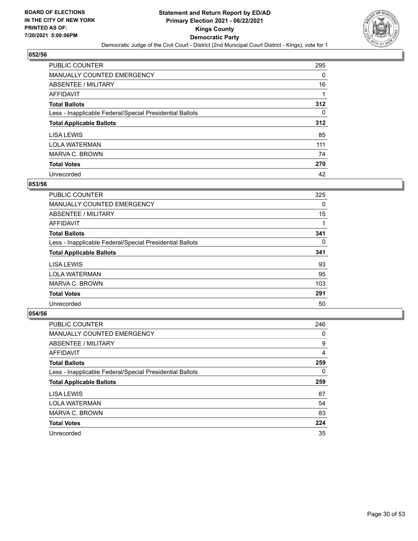

| PUBLIC COUNTER                                           | 295      |
|----------------------------------------------------------|----------|
| <b>MANUALLY COUNTED EMERGENCY</b>                        | $\Omega$ |
| ABSENTEE / MILITARY                                      | 16       |
| <b>AFFIDAVIT</b>                                         |          |
| <b>Total Ballots</b>                                     | 312      |
| Less - Inapplicable Federal/Special Presidential Ballots | 0        |
| <b>Total Applicable Ballots</b>                          | 312      |
| LISA LEWIS                                               | 85       |
| <b>LOLA WATERMAN</b>                                     | 111      |
| MARVA C. BROWN                                           | 74       |
| <b>Total Votes</b>                                       | 270      |
| Unrecorded                                               | 42       |

#### **053/56**

| PUBLIC COUNTER                                           | 325      |
|----------------------------------------------------------|----------|
| MANUALLY COUNTED EMERGENCY                               | $\Omega$ |
| ABSENTEE / MILITARY                                      | 15       |
| <b>AFFIDAVIT</b>                                         |          |
| <b>Total Ballots</b>                                     | 341      |
| Less - Inapplicable Federal/Special Presidential Ballots | 0        |
| <b>Total Applicable Ballots</b>                          | 341      |
| LISA LEWIS                                               | 93       |
| <b>LOLA WATERMAN</b>                                     | 95       |
| MARVA C. BROWN                                           | 103      |
| <b>Total Votes</b>                                       | 291      |
| Unrecorded                                               | 50       |

| <b>PUBLIC COUNTER</b>                                    | 246 |
|----------------------------------------------------------|-----|
| <b>MANUALLY COUNTED EMERGENCY</b>                        | 0   |
| ABSENTEE / MILITARY                                      | 9   |
| <b>AFFIDAVIT</b>                                         | 4   |
| <b>Total Ballots</b>                                     | 259 |
| Less - Inapplicable Federal/Special Presidential Ballots | 0   |
| <b>Total Applicable Ballots</b>                          | 259 |
| LISA LEWIS                                               | 87  |
|                                                          |     |
| <b>LOLA WATERMAN</b>                                     | 54  |
| MARVA C. BROWN                                           | 83  |
| <b>Total Votes</b>                                       | 224 |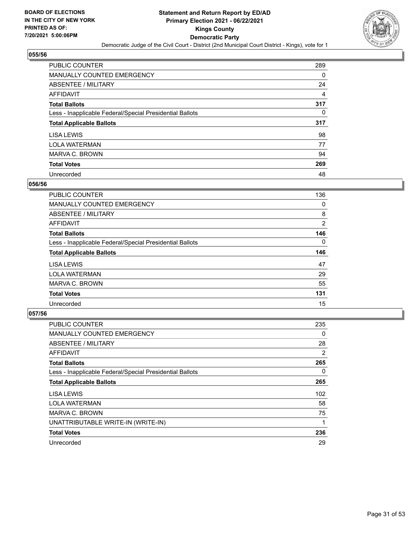

| <b>PUBLIC COUNTER</b>                                    | 289      |
|----------------------------------------------------------|----------|
| <b>MANUALLY COUNTED EMERGENCY</b>                        | $\Omega$ |
| ABSENTEE / MILITARY                                      | 24       |
| AFFIDAVIT                                                | 4        |
| <b>Total Ballots</b>                                     | 317      |
| Less - Inapplicable Federal/Special Presidential Ballots | 0        |
| <b>Total Applicable Ballots</b>                          | 317      |
| LISA LEWIS                                               | 98       |
| <b>LOLA WATERMAN</b>                                     | 77       |
| MARVA C. BROWN                                           | 94       |
|                                                          |          |
| <b>Total Votes</b>                                       | 269      |

#### **056/56**

| <b>PUBLIC COUNTER</b>                                    | 136            |
|----------------------------------------------------------|----------------|
| <b>MANUALLY COUNTED EMERGENCY</b>                        | 0              |
| ABSENTEE / MILITARY                                      | 8              |
| AFFIDAVIT                                                | $\overline{2}$ |
| <b>Total Ballots</b>                                     | 146            |
| Less - Inapplicable Federal/Special Presidential Ballots | $\Omega$       |
| <b>Total Applicable Ballots</b>                          | 146            |
| LISA LEWIS                                               | 47             |
| <b>LOLA WATERMAN</b>                                     | 29             |
| MARVA C. BROWN                                           | 55             |
| <b>Total Votes</b>                                       | 131            |
| Unrecorded                                               | 15             |

| <b>PUBLIC COUNTER</b>                                    | 235 |
|----------------------------------------------------------|-----|
| <b>MANUALLY COUNTED EMERGENCY</b>                        | 0   |
| ABSENTEE / MILITARY                                      | 28  |
| AFFIDAVIT                                                | 2   |
| <b>Total Ballots</b>                                     | 265 |
| Less - Inapplicable Federal/Special Presidential Ballots | 0   |
| <b>Total Applicable Ballots</b>                          | 265 |
| LISA LEWIS                                               | 102 |
| <b>LOLA WATERMAN</b>                                     | 58  |
| MARVA C. BROWN                                           | 75  |
| UNATTRIBUTABLE WRITE-IN (WRITE-IN)                       | 1   |
| <b>Total Votes</b>                                       | 236 |
| Unrecorded                                               | 29  |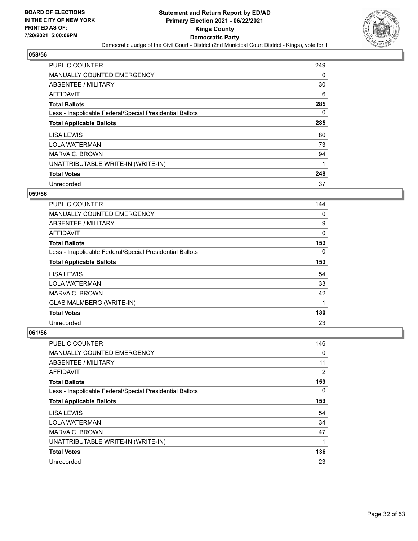

| <b>PUBLIC COUNTER</b>                                    | 249      |
|----------------------------------------------------------|----------|
| <b>MANUALLY COUNTED EMERGENCY</b>                        | 0        |
| ABSENTEE / MILITARY                                      | 30       |
| AFFIDAVIT                                                | 6        |
| <b>Total Ballots</b>                                     | 285      |
| Less - Inapplicable Federal/Special Presidential Ballots | $\Omega$ |
| <b>Total Applicable Ballots</b>                          | 285      |
| LISA LEWIS                                               | 80       |
| <b>LOLA WATERMAN</b>                                     | 73       |
| MARVA C. BROWN                                           | 94       |
| UNATTRIBUTABLE WRITE-IN (WRITE-IN)                       | 1        |
| <b>Total Votes</b>                                       | 248      |
| Unrecorded                                               | 37       |

#### **059/56**

| <b>PUBLIC COUNTER</b>                                    | 144 |
|----------------------------------------------------------|-----|
| <b>MANUALLY COUNTED EMERGENCY</b>                        | 0   |
| <b>ABSENTEE / MILITARY</b>                               | 9   |
| <b>AFFIDAVIT</b>                                         | 0   |
| <b>Total Ballots</b>                                     | 153 |
| Less - Inapplicable Federal/Special Presidential Ballots | 0   |
| <b>Total Applicable Ballots</b>                          | 153 |
| LISA LEWIS                                               | 54  |
| <b>LOLA WATERMAN</b>                                     | 33  |
| MARVA C. BROWN                                           | 42  |
| <b>GLAS MALMBERG (WRITE-IN)</b>                          | 1   |
| <b>Total Votes</b>                                       | 130 |
| Unrecorded                                               | 23  |

| PUBLIC COUNTER                                           | 146 |
|----------------------------------------------------------|-----|
| MANUALLY COUNTED EMERGENCY                               | 0   |
| ABSENTEE / MILITARY                                      | 11  |
| AFFIDAVIT                                                | 2   |
| <b>Total Ballots</b>                                     | 159 |
| Less - Inapplicable Federal/Special Presidential Ballots | 0   |
| <b>Total Applicable Ballots</b>                          | 159 |
| LISA LEWIS                                               | 54  |
| <b>LOLA WATERMAN</b>                                     | 34  |
| MARVA C. BROWN                                           | 47  |
| UNATTRIBUTABLE WRITE-IN (WRITE-IN)                       | 1   |
| <b>Total Votes</b>                                       | 136 |
| Unrecorded                                               | 23  |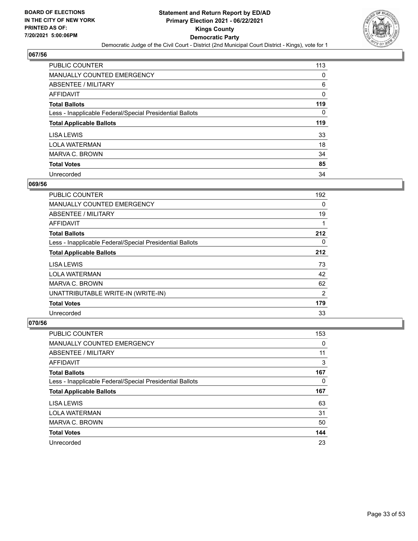

| PUBLIC COUNTER                                           | 113      |
|----------------------------------------------------------|----------|
| <b>MANUALLY COUNTED EMERGENCY</b>                        | 0        |
| ABSENTEE / MILITARY                                      | 6        |
| <b>AFFIDAVIT</b>                                         | 0        |
| <b>Total Ballots</b>                                     | 119      |
| Less - Inapplicable Federal/Special Presidential Ballots | $\Omega$ |
| <b>Total Applicable Ballots</b>                          | 119      |
| LISA LEWIS                                               | 33       |
| <b>LOLA WATERMAN</b>                                     | 18       |
| MARVA C. BROWN                                           | 34       |
| <b>Total Votes</b>                                       | 85       |
| Unrecorded                                               | 34       |

#### **069/56**

| <b>PUBLIC COUNTER</b>                                    | 192      |
|----------------------------------------------------------|----------|
| <b>MANUALLY COUNTED EMERGENCY</b>                        | 0        |
| ABSENTEE / MILITARY                                      | 19       |
| AFFIDAVIT                                                |          |
| <b>Total Ballots</b>                                     | 212      |
| Less - Inapplicable Federal/Special Presidential Ballots | $\Omega$ |
| <b>Total Applicable Ballots</b>                          | 212      |
| LISA LEWIS                                               | 73       |
| <b>LOLA WATERMAN</b>                                     | 42       |
| MARVA C. BROWN                                           | 62       |
| UNATTRIBUTABLE WRITE-IN (WRITE-IN)                       | 2        |
| <b>Total Votes</b>                                       | 179      |
| Unrecorded                                               | 33       |

| <b>PUBLIC COUNTER</b>                                    | 153 |
|----------------------------------------------------------|-----|
| <b>MANUALLY COUNTED EMERGENCY</b>                        | 0   |
| ABSENTEE / MILITARY                                      | 11  |
| AFFIDAVIT                                                | 3   |
| <b>Total Ballots</b>                                     | 167 |
| Less - Inapplicable Federal/Special Presidential Ballots | 0   |
|                                                          |     |
| <b>Total Applicable Ballots</b>                          | 167 |
| <b>LISA LEWIS</b>                                        | 63  |
| <b>LOLA WATERMAN</b>                                     | 31  |
| MARVA C. BROWN                                           | 50  |
| <b>Total Votes</b>                                       | 144 |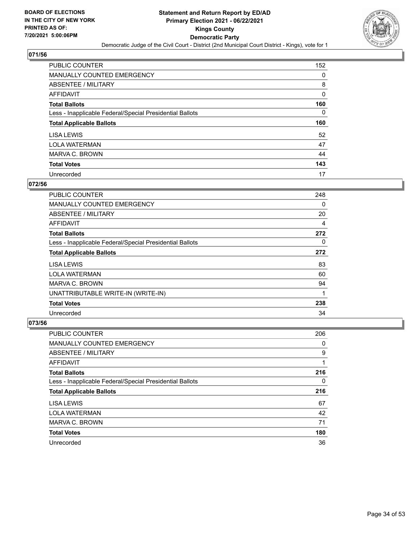

| PUBLIC COUNTER                                           | 152 |
|----------------------------------------------------------|-----|
| <b>MANUALLY COUNTED EMERGENCY</b>                        | 0   |
| ABSENTEE / MILITARY                                      | 8   |
| <b>AFFIDAVIT</b>                                         | 0   |
| <b>Total Ballots</b>                                     | 160 |
| Less - Inapplicable Federal/Special Presidential Ballots | 0   |
| <b>Total Applicable Ballots</b>                          | 160 |
| LISA LEWIS                                               | 52  |
|                                                          |     |
| <b>LOLA WATERMAN</b>                                     | 47  |
| MARVA C. BROWN                                           | 44  |
| <b>Total Votes</b>                                       | 143 |

#### **072/56**

| <b>PUBLIC COUNTER</b>                                    | 248      |
|----------------------------------------------------------|----------|
| <b>MANUALLY COUNTED EMERGENCY</b>                        | 0        |
| ABSENTEE / MILITARY                                      | 20       |
| AFFIDAVIT                                                | 4        |
| <b>Total Ballots</b>                                     | 272      |
| Less - Inapplicable Federal/Special Presidential Ballots | $\Omega$ |
| <b>Total Applicable Ballots</b>                          | 272      |
| LISA LEWIS                                               | 83       |
| <b>LOLA WATERMAN</b>                                     | 60       |
| MARVA C. BROWN                                           | 94       |
| UNATTRIBUTABLE WRITE-IN (WRITE-IN)                       | 1        |
| <b>Total Votes</b>                                       | 238      |
| Unrecorded                                               | 34       |

| <b>PUBLIC COUNTER</b>                                    | 206 |
|----------------------------------------------------------|-----|
| <b>MANUALLY COUNTED EMERGENCY</b>                        | 0   |
| ABSENTEE / MILITARY                                      | 9   |
| AFFIDAVIT                                                |     |
| <b>Total Ballots</b>                                     | 216 |
| Less - Inapplicable Federal/Special Presidential Ballots | 0   |
| <b>Total Applicable Ballots</b>                          | 216 |
| LISA LEWIS                                               | 67  |
| <b>LOLA WATERMAN</b>                                     | 42  |
| MARVA C. BROWN                                           | 71  |
| <b>Total Votes</b>                                       | 180 |
| Unrecorded                                               | 36  |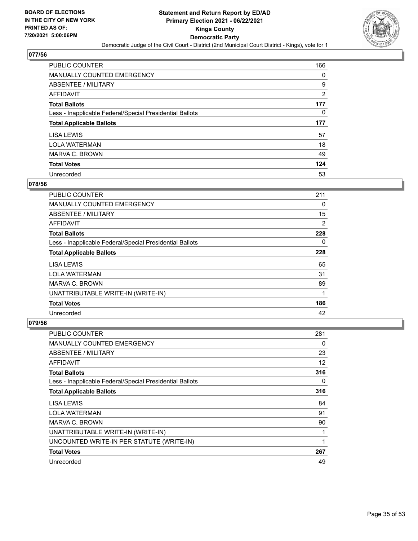

| PUBLIC COUNTER                                           | 166            |
|----------------------------------------------------------|----------------|
| <b>MANUALLY COUNTED EMERGENCY</b>                        | 0              |
| ABSENTEE / MILITARY                                      | 9              |
| <b>AFFIDAVIT</b>                                         | $\overline{2}$ |
| <b>Total Ballots</b>                                     | 177            |
| Less - Inapplicable Federal/Special Presidential Ballots | 0              |
| <b>Total Applicable Ballots</b>                          | 177            |
| LISA LEWIS                                               | 57             |
| <b>LOLA WATERMAN</b>                                     | 18             |
| MARVA C. BROWN                                           | 49             |
| <b>Total Votes</b>                                       | 124            |
|                                                          |                |

#### **078/56**

| <b>PUBLIC COUNTER</b>                                    | 211 |
|----------------------------------------------------------|-----|
| <b>MANUALLY COUNTED EMERGENCY</b>                        | 0   |
| ABSENTEE / MILITARY                                      | 15  |
| AFFIDAVIT                                                | 2   |
| <b>Total Ballots</b>                                     | 228 |
| Less - Inapplicable Federal/Special Presidential Ballots | 0   |
| <b>Total Applicable Ballots</b>                          | 228 |
| LISA LEWIS                                               | 65  |
| <b>LOLA WATERMAN</b>                                     | 31  |
| MARVA C. BROWN                                           | 89  |
| UNATTRIBUTABLE WRITE-IN (WRITE-IN)                       |     |
| <b>Total Votes</b>                                       | 186 |
| Unrecorded                                               | 42  |

| <b>PUBLIC COUNTER</b>                                    | 281 |
|----------------------------------------------------------|-----|
| <b>MANUALLY COUNTED EMERGENCY</b>                        | 0   |
| ABSENTEE / MILITARY                                      | 23  |
| AFFIDAVIT                                                | 12  |
| <b>Total Ballots</b>                                     | 316 |
| Less - Inapplicable Federal/Special Presidential Ballots | 0   |
| <b>Total Applicable Ballots</b>                          | 316 |
| LISA LEWIS                                               | 84  |
| <b>LOLA WATERMAN</b>                                     | 91  |
| MARVA C. BROWN                                           | 90  |
| UNATTRIBUTABLE WRITE-IN (WRITE-IN)                       | 1   |
|                                                          |     |
| UNCOUNTED WRITE-IN PER STATUTE (WRITE-IN)                | 1   |
| <b>Total Votes</b>                                       | 267 |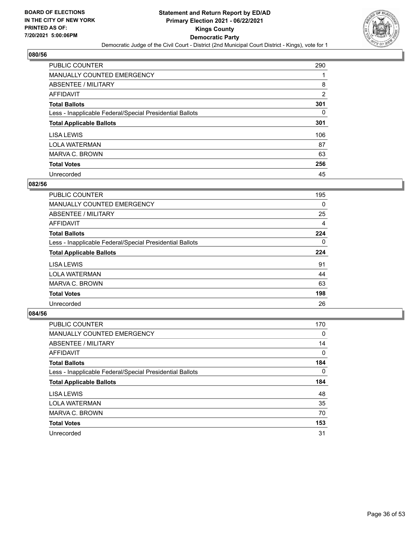

| PUBLIC COUNTER                                           | 290            |
|----------------------------------------------------------|----------------|
| <b>MANUALLY COUNTED EMERGENCY</b>                        |                |
| ABSENTEE / MILITARY                                      | 8              |
| AFFIDAVIT                                                | $\overline{2}$ |
| <b>Total Ballots</b>                                     | 301            |
| Less - Inapplicable Federal/Special Presidential Ballots | 0              |
| <b>Total Applicable Ballots</b>                          | 301            |
| LISA LEWIS                                               | 106            |
| <b>LOLA WATERMAN</b>                                     | 87             |
| MARVA C. BROWN                                           | 63             |
| <b>Total Votes</b>                                       | 256            |
| Unrecorded                                               | 45             |

#### **082/56**

| <b>PUBLIC COUNTER</b>                                    | 195      |
|----------------------------------------------------------|----------|
| <b>MANUALLY COUNTED EMERGENCY</b>                        | 0        |
| ABSENTEE / MILITARY                                      | 25       |
| <b>AFFIDAVIT</b>                                         | 4        |
| <b>Total Ballots</b>                                     | 224      |
| Less - Inapplicable Federal/Special Presidential Ballots | $\Omega$ |
| <b>Total Applicable Ballots</b>                          | 224      |
| LISA LEWIS                                               | 91       |
| <b>LOLA WATERMAN</b>                                     | 44       |
| MARVA C. BROWN                                           | 63       |
| <b>Total Votes</b>                                       | 198      |
| Unrecorded                                               | 26       |

| <b>PUBLIC COUNTER</b>                                    | 170      |
|----------------------------------------------------------|----------|
| <b>MANUALLY COUNTED EMERGENCY</b>                        | 0        |
| ABSENTEE / MILITARY                                      | 14       |
| AFFIDAVIT                                                | $\Omega$ |
| <b>Total Ballots</b>                                     | 184      |
| Less - Inapplicable Federal/Special Presidential Ballots | $\Omega$ |
| <b>Total Applicable Ballots</b>                          | 184      |
| LISA LEWIS                                               | 48       |
| <b>LOLA WATERMAN</b>                                     | 35       |
| MARVA C. BROWN                                           | 70       |
| <b>Total Votes</b>                                       | 153      |
| Unrecorded                                               | 31       |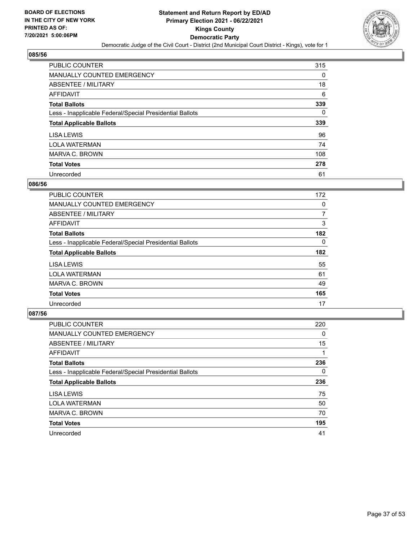

| <b>PUBLIC COUNTER</b>                                    | 315 |
|----------------------------------------------------------|-----|
| <b>MANUALLY COUNTED EMERGENCY</b>                        | 0   |
| ABSENTEE / MILITARY                                      | 18  |
| AFFIDAVIT                                                | 6   |
| <b>Total Ballots</b>                                     | 339 |
| Less - Inapplicable Federal/Special Presidential Ballots | 0   |
| <b>Total Applicable Ballots</b>                          | 339 |
| LISA LEWIS                                               | 96  |
|                                                          |     |
| <b>LOLA WATERMAN</b>                                     | 74  |
| MARVA C. BROWN                                           | 108 |
| <b>Total Votes</b>                                       | 278 |

#### **086/56**

| <b>PUBLIC COUNTER</b>                                    | 172      |
|----------------------------------------------------------|----------|
| <b>MANUALLY COUNTED EMERGENCY</b>                        | 0        |
| ABSENTEE / MILITARY                                      | 7        |
| <b>AFFIDAVIT</b>                                         | 3        |
| <b>Total Ballots</b>                                     | 182      |
| Less - Inapplicable Federal/Special Presidential Ballots | $\Omega$ |
| <b>Total Applicable Ballots</b>                          | 182      |
| LISA LEWIS                                               | 55       |
| <b>LOLA WATERMAN</b>                                     | 61       |
| MARVA C. BROWN                                           | 49       |
| <b>Total Votes</b>                                       | 165      |
| Unrecorded                                               | 17       |

| <b>PUBLIC COUNTER</b>                                    | 220       |
|----------------------------------------------------------|-----------|
| <b>MANUALLY COUNTED EMERGENCY</b>                        | 0         |
| ABSENTEE / MILITARY                                      | 15        |
| <b>AFFIDAVIT</b>                                         |           |
| <b>Total Ballots</b>                                     | 236       |
| Less - Inapplicable Federal/Special Presidential Ballots | 0         |
|                                                          |           |
| <b>Total Applicable Ballots</b>                          |           |
| LISA LEWIS                                               | 236<br>75 |
| <b>LOLA WATERMAN</b>                                     | 50        |
| MARVA C. BROWN                                           | 70        |
| <b>Total Votes</b>                                       | 195       |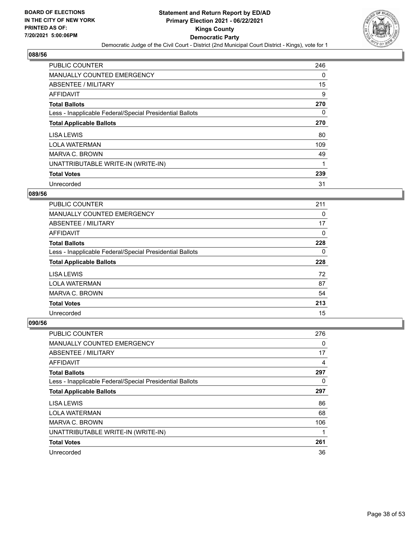

| <b>PUBLIC COUNTER</b>                                    | 246      |
|----------------------------------------------------------|----------|
| MANUALLY COUNTED EMERGENCY                               | 0        |
| ABSENTEE / MILITARY                                      | 15       |
| <b>AFFIDAVIT</b>                                         | 9        |
| <b>Total Ballots</b>                                     | 270      |
| Less - Inapplicable Federal/Special Presidential Ballots | $\Omega$ |
| <b>Total Applicable Ballots</b>                          | 270      |
| LISA LEWIS                                               | 80       |
| <b>LOLA WATERMAN</b>                                     | 109      |
| MARVA C. BROWN                                           | 49       |
| UNATTRIBUTABLE WRITE-IN (WRITE-IN)                       | 1        |
| <b>Total Votes</b>                                       | 239      |
| Unrecorded                                               | 31       |

#### **089/56**

| <b>PUBLIC COUNTER</b>                                    | 211      |
|----------------------------------------------------------|----------|
| <b>MANUALLY COUNTED EMERGENCY</b>                        | 0        |
| ABSENTEE / MILITARY                                      | 17       |
| AFFIDAVIT                                                | $\Omega$ |
| <b>Total Ballots</b>                                     | 228      |
| Less - Inapplicable Federal/Special Presidential Ballots | 0        |
|                                                          |          |
| <b>Total Applicable Ballots</b>                          | 228      |
| LISA LEWIS                                               | 72       |
| <b>LOLA WATERMAN</b>                                     | 87       |
| MARVA C. BROWN                                           | 54       |
| <b>Total Votes</b>                                       | 213      |

| <b>PUBLIC COUNTER</b>                                    | 276      |
|----------------------------------------------------------|----------|
| <b>MANUALLY COUNTED EMERGENCY</b>                        | 0        |
| ABSENTEE / MILITARY                                      | 17       |
| AFFIDAVIT                                                | 4        |
| <b>Total Ballots</b>                                     | 297      |
| Less - Inapplicable Federal/Special Presidential Ballots | $\Omega$ |
| <b>Total Applicable Ballots</b>                          | 297      |
| LISA LEWIS                                               | 86       |
| <b>LOLA WATERMAN</b>                                     | 68       |
| MARVA C. BROWN                                           | 106      |
| UNATTRIBUTABLE WRITE-IN (WRITE-IN)                       | 1        |
| <b>Total Votes</b>                                       | 261      |
| Unrecorded                                               | 36       |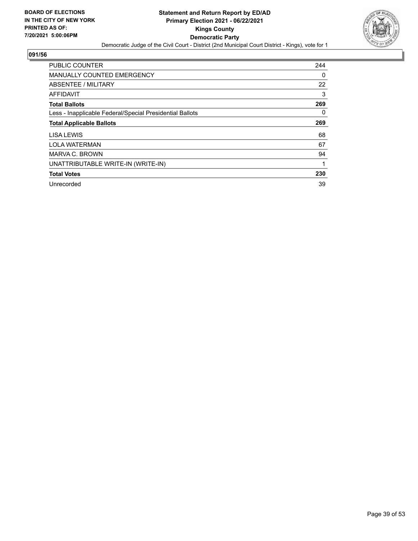

| <b>PUBLIC COUNTER</b>                                    | 244      |
|----------------------------------------------------------|----------|
| MANUALLY COUNTED EMERGENCY                               | 0        |
| ABSENTEE / MILITARY                                      | 22       |
| AFFIDAVIT                                                | 3        |
| <b>Total Ballots</b>                                     | 269      |
| Less - Inapplicable Federal/Special Presidential Ballots | $\Omega$ |
| <b>Total Applicable Ballots</b>                          | 269      |
| LISA LEWIS                                               | 68       |
| <b>LOLA WATERMAN</b>                                     | 67       |
| MARVA C. BROWN                                           | 94       |
| UNATTRIBUTABLE WRITE-IN (WRITE-IN)                       | 1        |
| <b>Total Votes</b>                                       | 230      |
| Unrecorded                                               | 39       |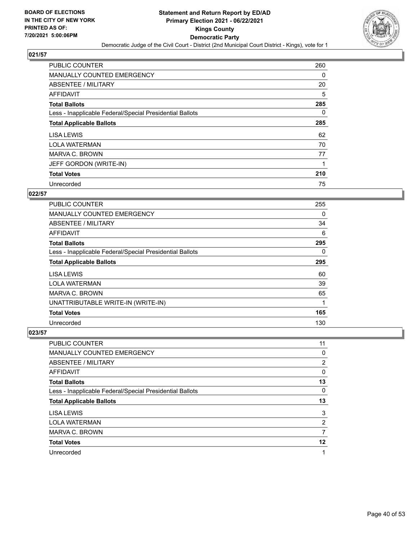

| <b>PUBLIC COUNTER</b>                                    | 260      |
|----------------------------------------------------------|----------|
| <b>MANUALLY COUNTED EMERGENCY</b>                        | $\Omega$ |
| ABSENTEE / MILITARY                                      | 20       |
| <b>AFFIDAVIT</b>                                         | 5        |
| <b>Total Ballots</b>                                     | 285      |
| Less - Inapplicable Federal/Special Presidential Ballots | $\Omega$ |
| <b>Total Applicable Ballots</b>                          | 285      |
| LISA LEWIS                                               | 62       |
| <b>LOLA WATERMAN</b>                                     | 70       |
| MARVA C. BROWN                                           | 77       |
| JEFF GORDON (WRITE-IN)                                   |          |
| <b>Total Votes</b>                                       | 210      |
| Unrecorded                                               | 75       |

## **022/57**

| <b>PUBLIC COUNTER</b>                                    | 255 |
|----------------------------------------------------------|-----|
| <b>MANUALLY COUNTED EMERGENCY</b>                        | 0   |
| ABSENTEE / MILITARY                                      | 34  |
| <b>AFFIDAVIT</b>                                         | 6   |
| <b>Total Ballots</b>                                     | 295 |
| Less - Inapplicable Federal/Special Presidential Ballots | 0   |
| <b>Total Applicable Ballots</b>                          | 295 |
| LISA LEWIS                                               | 60  |
| <b>LOLA WATERMAN</b>                                     | 39  |
| MARVA C. BROWN                                           | 65  |
| UNATTRIBUTABLE WRITE-IN (WRITE-IN)                       | 1   |
| <b>Total Votes</b>                                       | 165 |
| Unrecorded                                               | 130 |

| <b>PUBLIC COUNTER</b>                                    | 11 |
|----------------------------------------------------------|----|
| MANUALLY COUNTED EMERGENCY                               | 0  |
| ABSENTEE / MILITARY                                      | 2  |
| AFFIDAVIT                                                | 0  |
| <b>Total Ballots</b>                                     | 13 |
| Less - Inapplicable Federal/Special Presidential Ballots | 0  |
| <b>Total Applicable Ballots</b>                          | 13 |
| LISA LEWIS                                               | 3  |
| <b>LOLA WATERMAN</b>                                     | 2  |
| MARVA C. BROWN                                           | 7  |
| <b>Total Votes</b>                                       | 12 |
|                                                          |    |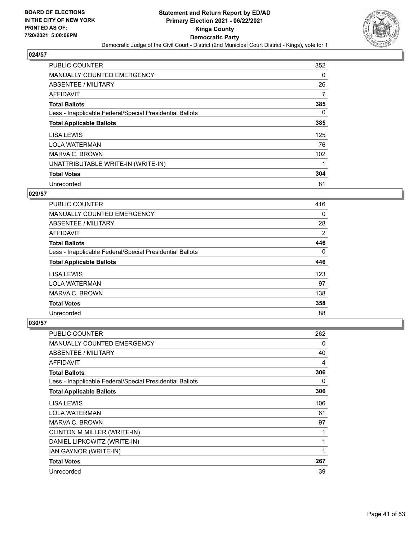

| PUBLIC COUNTER                                           | 352      |
|----------------------------------------------------------|----------|
| MANUALLY COUNTED EMERGENCY                               | $\Omega$ |
| ABSENTEE / MILITARY                                      | 26       |
| <b>AFFIDAVIT</b>                                         | 7        |
| <b>Total Ballots</b>                                     | 385      |
| Less - Inapplicable Federal/Special Presidential Ballots | $\Omega$ |
| <b>Total Applicable Ballots</b>                          | 385      |
| LISA LEWIS                                               | 125      |
| <b>LOLA WATERMAN</b>                                     | 76       |
| MARVA C. BROWN                                           | 102      |
| UNATTRIBUTABLE WRITE-IN (WRITE-IN)                       |          |
| <b>Total Votes</b>                                       | 304      |
| Unrecorded                                               | 81       |

## **029/57**

| <b>PUBLIC COUNTER</b>                                    | 416            |
|----------------------------------------------------------|----------------|
| MANUALLY COUNTED EMERGENCY                               | 0              |
| ABSENTEE / MILITARY                                      | 28             |
| <b>AFFIDAVIT</b>                                         | $\overline{2}$ |
| <b>Total Ballots</b>                                     | 446            |
| Less - Inapplicable Federal/Special Presidential Ballots | $\Omega$       |
| <b>Total Applicable Ballots</b>                          | 446            |
| LISA LEWIS                                               | 123            |
| <b>LOLA WATERMAN</b>                                     | 97             |
| MARVA C. BROWN                                           | 138            |
| <b>Total Votes</b>                                       | 358            |
| Unrecorded                                               | 88             |

| <b>PUBLIC COUNTER</b>                                    | 262 |
|----------------------------------------------------------|-----|
| <b>MANUALLY COUNTED EMERGENCY</b>                        | 0   |
| ABSENTEE / MILITARY                                      | 40  |
| <b>AFFIDAVIT</b>                                         | 4   |
| <b>Total Ballots</b>                                     | 306 |
| Less - Inapplicable Federal/Special Presidential Ballots | 0   |
| <b>Total Applicable Ballots</b>                          | 306 |
| LISA LEWIS                                               | 106 |
| <b>LOLA WATERMAN</b>                                     | 61  |
| MARVA C. BROWN                                           | 97  |
| CLINTON M MILLER (WRITE-IN)                              |     |
| DANIEL LIPKOWITZ (WRITE-IN)                              |     |
| IAN GAYNOR (WRITE-IN)                                    | 1   |
| <b>Total Votes</b>                                       | 267 |
| Unrecorded                                               | 39  |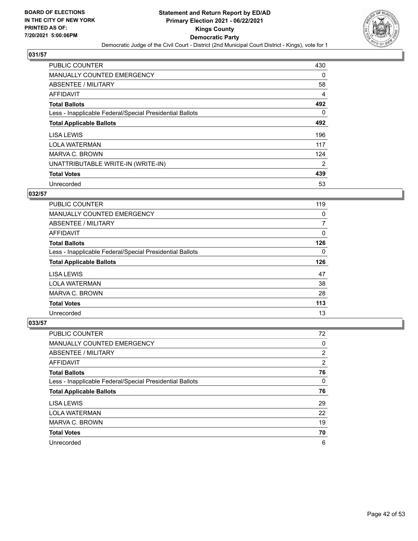

| <b>PUBLIC COUNTER</b>                                    | 430            |
|----------------------------------------------------------|----------------|
| <b>MANUALLY COUNTED EMERGENCY</b>                        | $\Omega$       |
| ABSENTEE / MILITARY                                      | 58             |
| <b>AFFIDAVIT</b>                                         | 4              |
| <b>Total Ballots</b>                                     | 492            |
| Less - Inapplicable Federal/Special Presidential Ballots | $\Omega$       |
| <b>Total Applicable Ballots</b>                          | 492            |
| LISA LEWIS                                               | 196            |
| <b>LOLA WATERMAN</b>                                     | 117            |
| MARVA C. BROWN                                           | 124            |
| UNATTRIBUTABLE WRITE-IN (WRITE-IN)                       | $\overline{2}$ |
| <b>Total Votes</b>                                       | 439            |
| Unrecorded                                               | 53             |

## **032/57**

| <b>PUBLIC COUNTER</b>                                    | 119       |
|----------------------------------------------------------|-----------|
| <b>MANUALLY COUNTED EMERGENCY</b>                        | 0         |
| ABSENTEE / MILITARY                                      | 7         |
| AFFIDAVIT                                                | $\Omega$  |
| <b>Total Ballots</b>                                     | 126       |
| Less - Inapplicable Federal/Special Presidential Ballots | 0         |
|                                                          |           |
| <b>Total Applicable Ballots</b>                          |           |
| <b>LISA LEWIS</b>                                        | 126<br>47 |
| <b>LOLA WATERMAN</b>                                     | 38        |
| MARVA C. BROWN                                           | 28        |
| <b>Total Votes</b>                                       | 113       |

| <b>PUBLIC COUNTER</b>                                    | 72 |
|----------------------------------------------------------|----|
| <b>MANUALLY COUNTED EMERGENCY</b>                        | 0  |
| ABSENTEE / MILITARY                                      | 2  |
| AFFIDAVIT                                                | 2  |
| <b>Total Ballots</b>                                     | 76 |
| Less - Inapplicable Federal/Special Presidential Ballots | 0  |
| <b>Total Applicable Ballots</b>                          | 76 |
| LISA LEWIS                                               | 29 |
| <b>LOLA WATERMAN</b>                                     | 22 |
| MARVA C. BROWN                                           | 19 |
| <b>Total Votes</b>                                       | 70 |
| Unrecorded                                               | 6  |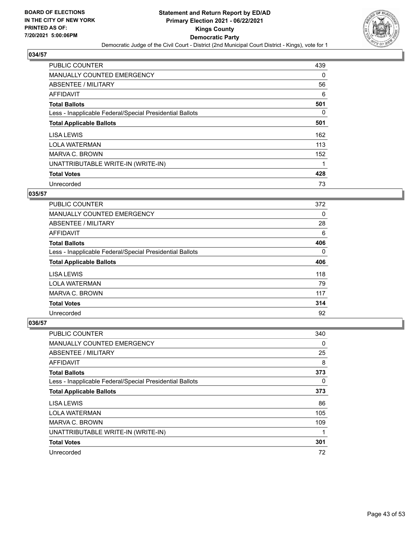

| <b>PUBLIC COUNTER</b>                                    | 439      |
|----------------------------------------------------------|----------|
| MANUALLY COUNTED EMERGENCY                               | $\Omega$ |
| ABSENTEE / MILITARY                                      | 56       |
| AFFIDAVIT                                                | 6        |
| <b>Total Ballots</b>                                     | 501      |
| Less - Inapplicable Federal/Special Presidential Ballots | $\Omega$ |
| <b>Total Applicable Ballots</b>                          | 501      |
| LISA LEWIS                                               | 162      |
| <b>LOLA WATERMAN</b>                                     | 113      |
| MARVA C. BROWN                                           | 152      |
| UNATTRIBUTABLE WRITE-IN (WRITE-IN)                       | 1        |
| <b>Total Votes</b>                                       | 428      |
| Unrecorded                                               | 73       |

## **035/57**

| <b>PUBLIC COUNTER</b>                                    | 372 |
|----------------------------------------------------------|-----|
| <b>MANUALLY COUNTED EMERGENCY</b>                        | 0   |
| ABSENTEE / MILITARY                                      | 28  |
| <b>AFFIDAVIT</b>                                         | 6   |
| <b>Total Ballots</b>                                     | 406 |
| Less - Inapplicable Federal/Special Presidential Ballots | 0   |
| <b>Total Applicable Ballots</b>                          | 406 |
| LISA LEWIS                                               | 118 |
| <b>LOLA WATERMAN</b>                                     | 79  |
| MARVA C. BROWN                                           | 117 |
| <b>Total Votes</b>                                       | 314 |
| Unrecorded                                               | 92  |

| <b>PUBLIC COUNTER</b>                                    | 340      |
|----------------------------------------------------------|----------|
| <b>MANUALLY COUNTED EMERGENCY</b>                        | 0        |
| ABSENTEE / MILITARY                                      | 25       |
| AFFIDAVIT                                                | 8        |
| <b>Total Ballots</b>                                     | 373      |
| Less - Inapplicable Federal/Special Presidential Ballots | $\Omega$ |
| <b>Total Applicable Ballots</b>                          | 373      |
| LISA LEWIS                                               | 86       |
| <b>LOLA WATERMAN</b>                                     | 105      |
| MARVA C. BROWN                                           | 109      |
| UNATTRIBUTABLE WRITE-IN (WRITE-IN)                       |          |
| <b>Total Votes</b>                                       | 301      |
| Unrecorded                                               | 72       |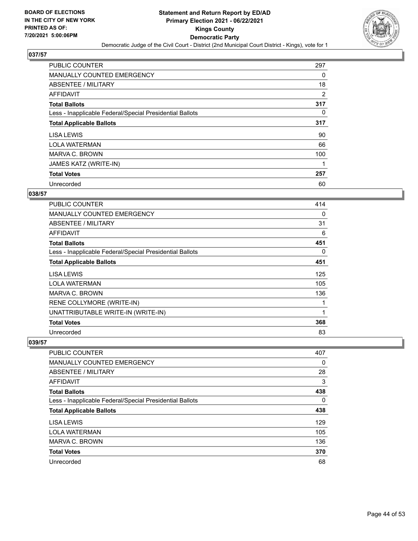

| <b>PUBLIC COUNTER</b>                                    | 297 |
|----------------------------------------------------------|-----|
| <b>MANUALLY COUNTED EMERGENCY</b>                        | 0   |
| ABSENTEE / MILITARY                                      | 18  |
| <b>AFFIDAVIT</b>                                         | 2   |
| <b>Total Ballots</b>                                     | 317 |
| Less - Inapplicable Federal/Special Presidential Ballots | 0   |
| <b>Total Applicable Ballots</b>                          | 317 |
| LISA LEWIS                                               | 90  |
| <b>LOLA WATERMAN</b>                                     | 66  |
| MARVA C. BROWN                                           | 100 |
| JAMES KATZ (WRITE-IN)                                    |     |
| <b>Total Votes</b>                                       | 257 |
| Unrecorded                                               | 60  |

## **038/57**

| <b>PUBLIC COUNTER</b>                                    | 414 |
|----------------------------------------------------------|-----|
| <b>MANUALLY COUNTED EMERGENCY</b>                        | 0   |
| ABSENTEE / MILITARY                                      | 31  |
| <b>AFFIDAVIT</b>                                         | 6   |
| <b>Total Ballots</b>                                     | 451 |
| Less - Inapplicable Federal/Special Presidential Ballots | 0   |
| <b>Total Applicable Ballots</b>                          | 451 |
| LISA LEWIS                                               | 125 |
| <b>LOLA WATERMAN</b>                                     | 105 |
| MARVA C. BROWN                                           | 136 |
| RENE COLLYMORE (WRITE-IN)                                | 1   |
| UNATTRIBUTABLE WRITE-IN (WRITE-IN)                       | 1   |
| <b>Total Votes</b>                                       | 368 |
| Unrecorded                                               | 83  |

| PUBLIC COUNTER                                           | 407      |
|----------------------------------------------------------|----------|
| MANUALLY COUNTED EMERGENCY                               | $\Omega$ |
| ABSENTEE / MILITARY                                      | 28       |
| AFFIDAVIT                                                | 3        |
| <b>Total Ballots</b>                                     | 438      |
| Less - Inapplicable Federal/Special Presidential Ballots | $\Omega$ |
| <b>Total Applicable Ballots</b>                          | 438      |
| LISA LEWIS                                               | 129      |
| <b>LOLA WATERMAN</b>                                     | 105      |
| <b>MARVA C. BROWN</b>                                    | 136      |
| <b>Total Votes</b>                                       | 370      |
| Unrecorded                                               | 68       |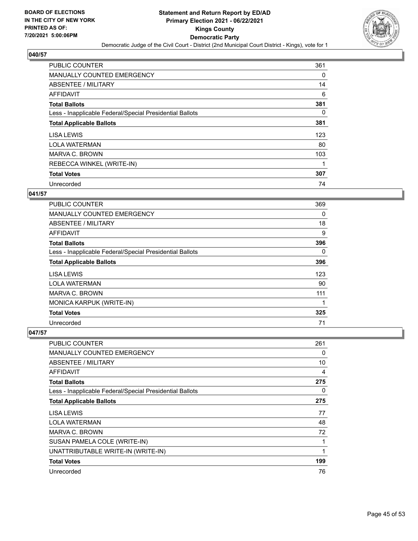

| <b>PUBLIC COUNTER</b>                                    | 361      |
|----------------------------------------------------------|----------|
| <b>MANUALLY COUNTED EMERGENCY</b>                        | 0        |
| ABSENTEE / MILITARY                                      | 14       |
| AFFIDAVIT                                                | 6        |
| <b>Total Ballots</b>                                     | 381      |
| Less - Inapplicable Federal/Special Presidential Ballots | $\Omega$ |
| <b>Total Applicable Ballots</b>                          | 381      |
| LISA LEWIS                                               | 123      |
| <b>LOLA WATERMAN</b>                                     | 80       |
| MARVA C. BROWN                                           | 103      |
| REBECCA WINKEL (WRITE-IN)                                |          |
| <b>Total Votes</b>                                       | 307      |
| Unrecorded                                               | 74       |

## **041/57**

| <b>PUBLIC COUNTER</b>                                    | 369      |
|----------------------------------------------------------|----------|
| <b>MANUALLY COUNTED EMERGENCY</b>                        | 0        |
| ABSENTEE / MILITARY                                      | 18       |
| <b>AFFIDAVIT</b>                                         | 9        |
| <b>Total Ballots</b>                                     | 396      |
| Less - Inapplicable Federal/Special Presidential Ballots | $\Omega$ |
| <b>Total Applicable Ballots</b>                          | 396      |
| LISA LEWIS                                               | 123      |
| <b>LOLA WATERMAN</b>                                     | 90       |
| MARVA C. BROWN                                           | 111      |
| MONICA KARPUK (WRITE-IN)                                 | 1        |
| <b>Total Votes</b>                                       | 325      |
| Unrecorded                                               | 71       |

| <b>PUBLIC COUNTER</b>                                    | 261 |
|----------------------------------------------------------|-----|
| MANUALLY COUNTED EMERGENCY                               | 0   |
| ABSENTEE / MILITARY                                      | 10  |
| AFFIDAVIT                                                | 4   |
| <b>Total Ballots</b>                                     | 275 |
| Less - Inapplicable Federal/Special Presidential Ballots | 0   |
| <b>Total Applicable Ballots</b>                          | 275 |
| <b>LISA LEWIS</b>                                        | 77  |
| <b>LOLA WATERMAN</b>                                     | 48  |
| MARVA C. BROWN                                           | 72  |
| SUSAN PAMELA COLE (WRITE-IN)                             | 1   |
| UNATTRIBUTABLE WRITE-IN (WRITE-IN)                       | 1   |
| <b>Total Votes</b>                                       | 199 |
| Unrecorded                                               | 76  |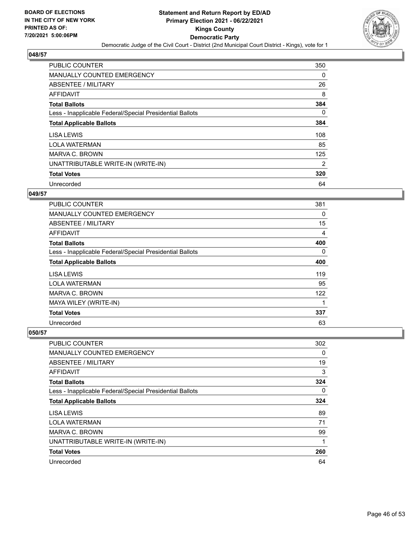

| <b>PUBLIC COUNTER</b>                                    | 350      |
|----------------------------------------------------------|----------|
| <b>MANUALLY COUNTED EMERGENCY</b>                        | $\Omega$ |
| ABSENTEE / MILITARY                                      | 26       |
| <b>AFFIDAVIT</b>                                         | 8        |
| <b>Total Ballots</b>                                     | 384      |
| Less - Inapplicable Federal/Special Presidential Ballots | $\Omega$ |
| <b>Total Applicable Ballots</b>                          | 384      |
| LISA LEWIS                                               | 108      |
| <b>LOLA WATERMAN</b>                                     | 85       |
| MARVA C. BROWN                                           | 125      |
| UNATTRIBUTABLE WRITE-IN (WRITE-IN)                       | 2        |
| <b>Total Votes</b>                                       | 320      |
| Unrecorded                                               | 64       |

## **049/57**

| PUBLIC COUNTER                                           | 381 |
|----------------------------------------------------------|-----|
| <b>MANUALLY COUNTED EMERGENCY</b>                        | 0   |
| <b>ABSENTEE / MILITARY</b>                               | 15  |
| <b>AFFIDAVIT</b>                                         | 4   |
| <b>Total Ballots</b>                                     | 400 |
| Less - Inapplicable Federal/Special Presidential Ballots | 0   |
| <b>Total Applicable Ballots</b>                          | 400 |
| LISA LEWIS                                               | 119 |
| <b>LOLA WATERMAN</b>                                     | 95  |
| <b>MARVA C. BROWN</b>                                    | 122 |
| MAYA WILEY (WRITE-IN)                                    | 1   |
| <b>Total Votes</b>                                       | 337 |
| Unrecorded                                               | 63  |

| <b>PUBLIC COUNTER</b>                                    | 302      |
|----------------------------------------------------------|----------|
| <b>MANUALLY COUNTED EMERGENCY</b>                        | 0        |
| ABSENTEE / MILITARY                                      | 19       |
| AFFIDAVIT                                                | 3        |
| <b>Total Ballots</b>                                     | 324      |
| Less - Inapplicable Federal/Special Presidential Ballots | $\Omega$ |
| <b>Total Applicable Ballots</b>                          | 324      |
| LISA LEWIS                                               | 89       |
| <b>LOLA WATERMAN</b>                                     | 71       |
| MARVA C. BROWN                                           | 99       |
| UNATTRIBUTABLE WRITE-IN (WRITE-IN)                       | 1        |
| <b>Total Votes</b>                                       | 260      |
| Unrecorded                                               | 64       |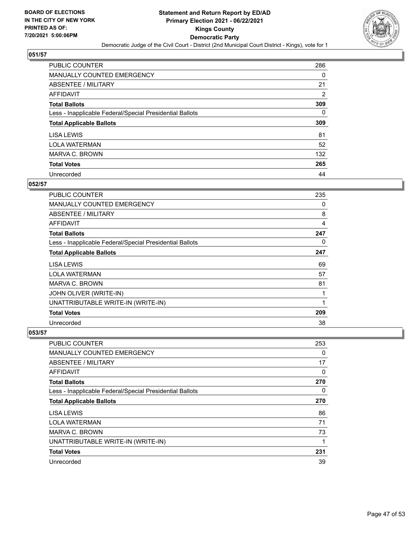

| PUBLIC COUNTER                                           | 286            |
|----------------------------------------------------------|----------------|
| MANUALLY COUNTED EMERGENCY                               | $\Omega$       |
| ABSENTEE / MILITARY                                      | 21             |
| AFFIDAVIT                                                | $\overline{2}$ |
| <b>Total Ballots</b>                                     | 309            |
| Less - Inapplicable Federal/Special Presidential Ballots | 0              |
| <b>Total Applicable Ballots</b>                          | 309            |
| LISA LEWIS                                               | 81             |
| <b>LOLA WATERMAN</b>                                     | 52             |
| MARVA C. BROWN                                           | 132            |
| <b>Total Votes</b>                                       | 265            |
| Unrecorded                                               | 44             |

### **052/57**

| <b>PUBLIC COUNTER</b>                                    | 235          |
|----------------------------------------------------------|--------------|
| MANUALLY COUNTED EMERGENCY                               | 0            |
| ABSENTEE / MILITARY                                      | 8            |
| <b>AFFIDAVIT</b>                                         | 4            |
| <b>Total Ballots</b>                                     | 247          |
| Less - Inapplicable Federal/Special Presidential Ballots | 0            |
| <b>Total Applicable Ballots</b>                          | 247          |
| LISA LEWIS                                               | 69           |
| <b>LOLA WATERMAN</b>                                     | 57           |
| MARVA C. BROWN                                           | 81           |
| JOHN OLIVER (WRITE-IN)                                   | 1            |
| UNATTRIBUTABLE WRITE-IN (WRITE-IN)                       | $\mathbf{1}$ |
| <b>Total Votes</b>                                       | 209          |
| Unrecorded                                               | 38           |

| <b>PUBLIC COUNTER</b>                                    | 253 |
|----------------------------------------------------------|-----|
| <b>MANUALLY COUNTED EMERGENCY</b>                        | 0   |
| ABSENTEE / MILITARY                                      | 17  |
| AFFIDAVIT                                                | 0   |
| <b>Total Ballots</b>                                     | 270 |
| Less - Inapplicable Federal/Special Presidential Ballots | 0   |
| <b>Total Applicable Ballots</b>                          | 270 |
| LISA LEWIS                                               | 86  |
| <b>LOLA WATERMAN</b>                                     | 71  |
| MARVA C. BROWN                                           | 73  |
| UNATTRIBUTABLE WRITE-IN (WRITE-IN)                       | 1   |
| <b>Total Votes</b>                                       | 231 |
| Unrecorded                                               | 39  |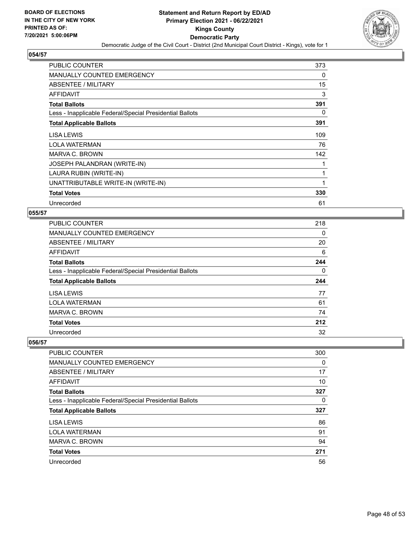

| <b>PUBLIC COUNTER</b>                                    | 373 |
|----------------------------------------------------------|-----|
| MANUALLY COUNTED EMERGENCY                               | 0   |
| ABSENTEE / MILITARY                                      | 15  |
| AFFIDAVIT                                                | 3   |
| <b>Total Ballots</b>                                     | 391 |
| Less - Inapplicable Federal/Special Presidential Ballots | 0   |
| <b>Total Applicable Ballots</b>                          | 391 |
| LISA LEWIS                                               | 109 |
| <b>LOLA WATERMAN</b>                                     | 76  |
| MARVA C. BROWN                                           | 142 |
| <b>JOSEPH PALANDRAN (WRITE-IN)</b>                       |     |
| LAURA RUBIN (WRITE-IN)                                   | 1   |
| UNATTRIBUTABLE WRITE-IN (WRITE-IN)                       |     |
| <b>Total Votes</b>                                       | 330 |
| Unrecorded                                               | 61  |

#### **055/57**

| <b>PUBLIC COUNTER</b>                                    | 218 |
|----------------------------------------------------------|-----|
| MANUALLY COUNTED EMERGENCY                               | 0   |
| ABSENTEE / MILITARY                                      | 20  |
| AFFIDAVIT                                                | 6   |
| <b>Total Ballots</b>                                     | 244 |
| Less - Inapplicable Federal/Special Presidential Ballots | 0   |
| <b>Total Applicable Ballots</b>                          | 244 |
| LISA LEWIS                                               | 77  |
| <b>LOLA WATERMAN</b>                                     | 61  |
| MARVA C. BROWN                                           | 74  |
| <b>Total Votes</b>                                       | 212 |
| Unrecorded                                               | 32  |

| <b>PUBLIC COUNTER</b>                                    | 300      |
|----------------------------------------------------------|----------|
| MANUALLY COUNTED EMERGENCY                               | $\Omega$ |
| ABSENTEE / MILITARY                                      | 17       |
| AFFIDAVIT                                                | 10       |
| <b>Total Ballots</b>                                     | 327      |
| Less - Inapplicable Federal/Special Presidential Ballots | $\Omega$ |
| <b>Total Applicable Ballots</b>                          | 327      |
| LISA LEWIS                                               | 86       |
| <b>LOLA WATERMAN</b>                                     | 91       |
| MARVA C. BROWN                                           | 94       |
| <b>Total Votes</b>                                       | 271      |
| Unrecorded                                               | 56       |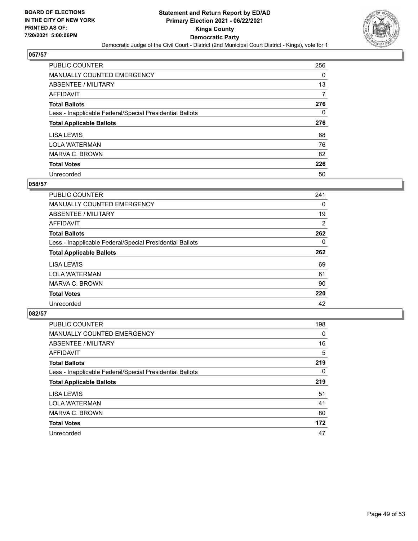

| PUBLIC COUNTER                                           | 256 |
|----------------------------------------------------------|-----|
| MANUALLY COUNTED EMERGENCY                               | 0   |
| ABSENTEE / MILITARY                                      | 13  |
| AFFIDAVIT                                                | 7   |
| <b>Total Ballots</b>                                     | 276 |
| Less - Inapplicable Federal/Special Presidential Ballots | 0   |
| <b>Total Applicable Ballots</b>                          | 276 |
| LISA LEWIS                                               | 68  |
| <b>LOLA WATERMAN</b>                                     | 76  |
| MARVA C. BROWN                                           | 82  |
| <b>Total Votes</b>                                       | 226 |
|                                                          |     |

#### **058/57**

| <b>PUBLIC COUNTER</b>                                    | 241      |
|----------------------------------------------------------|----------|
| <b>MANUALLY COUNTED EMERGENCY</b>                        | 0        |
| ABSENTEE / MILITARY                                      | 19       |
| <b>AFFIDAVIT</b>                                         | 2        |
| <b>Total Ballots</b>                                     | 262      |
| Less - Inapplicable Federal/Special Presidential Ballots | $\Omega$ |
| <b>Total Applicable Ballots</b>                          | 262      |
| LISA LEWIS                                               | 69       |
| <b>LOLA WATERMAN</b>                                     | 61       |
| MARVA C. BROWN                                           | 90       |
| <b>Total Votes</b>                                       | 220      |
| Unrecorded                                               | 42       |

| <b>PUBLIC COUNTER</b>                                    | 198 |
|----------------------------------------------------------|-----|
| MANUALLY COUNTED EMERGENCY                               | 0   |
| ABSENTEE / MILITARY                                      | 16  |
| <b>AFFIDAVIT</b>                                         | 5   |
| <b>Total Ballots</b>                                     | 219 |
| Less - Inapplicable Federal/Special Presidential Ballots | 0   |
|                                                          |     |
| <b>Total Applicable Ballots</b>                          | 219 |
| LISA LEWIS                                               | 51  |
| <b>LOLA WATERMAN</b>                                     | 41  |
| MARVA C. BROWN                                           | 80  |
| <b>Total Votes</b>                                       | 172 |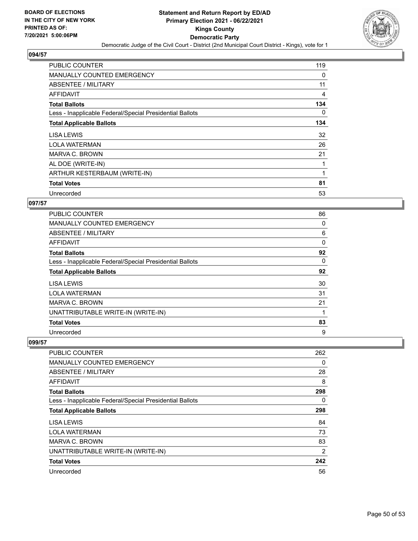

| <b>PUBLIC COUNTER</b>                                    | 119 |
|----------------------------------------------------------|-----|
| MANUALLY COUNTED EMERGENCY                               | 0   |
| ABSENTEE / MILITARY                                      | 11  |
| AFFIDAVIT                                                | 4   |
| <b>Total Ballots</b>                                     | 134 |
| Less - Inapplicable Federal/Special Presidential Ballots | 0   |
| <b>Total Applicable Ballots</b>                          | 134 |
| LISA LEWIS                                               | 32  |
| <b>LOLA WATERMAN</b>                                     | 26  |
| MARVA C. BROWN                                           | 21  |
| AL DOE (WRITE-IN)                                        |     |
| ARTHUR KESTERBAUM (WRITE-IN)                             |     |
| <b>Total Votes</b>                                       | 81  |
| Unrecorded                                               | 53  |

## **097/57**

| <b>PUBLIC COUNTER</b>                                    | 86       |
|----------------------------------------------------------|----------|
| <b>MANUALLY COUNTED EMERGENCY</b>                        | 0        |
| ABSENTEE / MILITARY                                      | 6        |
| AFFIDAVIT                                                | 0        |
| <b>Total Ballots</b>                                     | 92       |
| Less - Inapplicable Federal/Special Presidential Ballots | $\Omega$ |
| <b>Total Applicable Ballots</b>                          | 92       |
| LISA LEWIS                                               | 30       |
| <b>LOLA WATERMAN</b>                                     | 31       |
| MARVA C. BROWN                                           | 21       |
| UNATTRIBUTABLE WRITE-IN (WRITE-IN)                       | 1        |
| <b>Total Votes</b>                                       | 83       |
| Unrecorded                                               | 9        |

| <b>PUBLIC COUNTER</b>                                    | 262            |
|----------------------------------------------------------|----------------|
| MANUALLY COUNTED EMERGENCY                               | 0              |
| ABSENTEE / MILITARY                                      | 28             |
| AFFIDAVIT                                                | 8              |
| <b>Total Ballots</b>                                     | 298            |
| Less - Inapplicable Federal/Special Presidential Ballots | 0              |
| <b>Total Applicable Ballots</b>                          | 298            |
| LISA LEWIS                                               | 84             |
| <b>LOLA WATERMAN</b>                                     | 73             |
| MARVA C. BROWN                                           | 83             |
| UNATTRIBUTABLE WRITE-IN (WRITE-IN)                       | $\overline{2}$ |
| <b>Total Votes</b>                                       | 242            |
| Unrecorded                                               | 56             |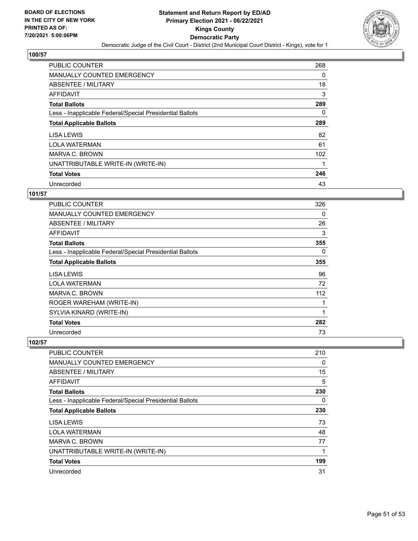

| PUBLIC COUNTER                                           | 268      |
|----------------------------------------------------------|----------|
| MANUALLY COUNTED EMERGENCY                               | 0        |
| ABSENTEE / MILITARY                                      | 18       |
| <b>AFFIDAVIT</b>                                         | 3        |
| <b>Total Ballots</b>                                     | 289      |
| Less - Inapplicable Federal/Special Presidential Ballots | $\Omega$ |
| <b>Total Applicable Ballots</b>                          | 289      |
| LISA LEWIS                                               | 82       |
| <b>LOLA WATERMAN</b>                                     | 61       |
| MARVA C. BROWN                                           | 102      |
| UNATTRIBUTABLE WRITE-IN (WRITE-IN)                       |          |
| <b>Total Votes</b>                                       | 246      |
| Unrecorded                                               | 43       |

## **101/57**

| <b>PUBLIC COUNTER</b>                                    | 326 |
|----------------------------------------------------------|-----|
| <b>MANUALLY COUNTED EMERGENCY</b>                        | 0   |
| ABSENTEE / MILITARY                                      | 26  |
| <b>AFFIDAVIT</b>                                         | 3   |
| <b>Total Ballots</b>                                     | 355 |
| Less - Inapplicable Federal/Special Presidential Ballots | 0   |
| <b>Total Applicable Ballots</b>                          | 355 |
| LISA LEWIS                                               | 96  |
| LOLA WATERMAN                                            | 72  |
| MARVA C. BROWN                                           | 112 |
| ROGER WAREHAM (WRITE-IN)                                 | 1   |
| SYLVIA KINARD (WRITE-IN)                                 | 1   |
| <b>Total Votes</b>                                       | 282 |
| Unrecorded                                               | 73  |

| <b>PUBLIC COUNTER</b>                                    | 210 |
|----------------------------------------------------------|-----|
| <b>MANUALLY COUNTED EMERGENCY</b>                        | 0   |
| ABSENTEE / MILITARY                                      | 15  |
| AFFIDAVIT                                                | 5   |
| <b>Total Ballots</b>                                     | 230 |
| Less - Inapplicable Federal/Special Presidential Ballots | 0   |
| <b>Total Applicable Ballots</b>                          | 230 |
| LISA LEWIS                                               | 73  |
| <b>LOLA WATERMAN</b>                                     | 48  |
| MARVA C. BROWN                                           | 77  |
| UNATTRIBUTABLE WRITE-IN (WRITE-IN)                       | 1   |
| <b>Total Votes</b>                                       | 199 |
| Unrecorded                                               | 31  |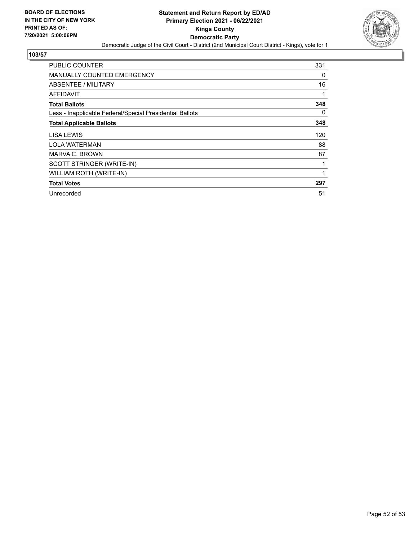

| <b>PUBLIC COUNTER</b>                                    | 331 |
|----------------------------------------------------------|-----|
| MANUALLY COUNTED EMERGENCY                               | 0   |
| ABSENTEE / MILITARY                                      | 16  |
| <b>AFFIDAVIT</b>                                         | 1   |
| <b>Total Ballots</b>                                     | 348 |
| Less - Inapplicable Federal/Special Presidential Ballots | 0   |
| <b>Total Applicable Ballots</b>                          | 348 |
| <b>LISA LEWIS</b>                                        | 120 |
| <b>LOLA WATERMAN</b>                                     | 88  |
| MARVA C. BROWN                                           | 87  |
| SCOTT STRINGER (WRITE-IN)                                | 1   |
| WILLIAM ROTH (WRITE-IN)                                  | 1   |
| <b>Total Votes</b>                                       | 297 |
| Unrecorded                                               | 51  |